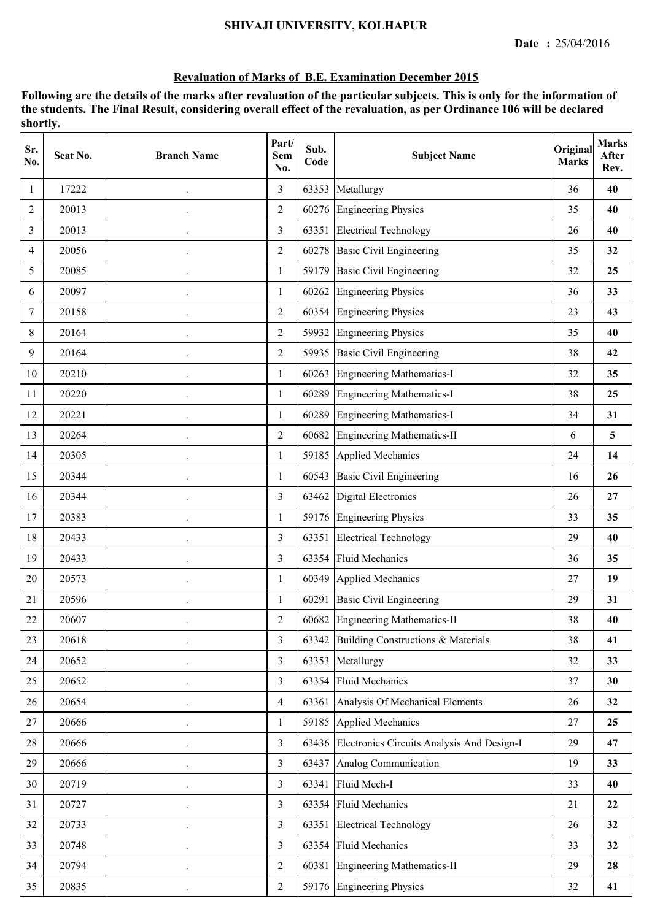#### **SHIVAJI UNIVERSITY, KOLHAPUR**

#### **Revaluation of Marks of B.E. Examination December 2015**

| Sr.<br>No.     | Seat No. | <b>Branch Name</b>   | Part/<br><b>Sem</b><br>No. | Sub.<br>Code | <b>Subject Name</b>                              | Original<br><b>Marks</b> | <b>Marks</b><br><b>After</b><br>Rev. |
|----------------|----------|----------------------|----------------------------|--------------|--------------------------------------------------|--------------------------|--------------------------------------|
| $\mathbf{1}$   | 17222    |                      | $\overline{3}$             | 63353        | Metallurgy                                       | 36                       | 40                                   |
| $\overline{2}$ | 20013    |                      | $\overline{2}$             |              | 60276 Engineering Physics                        | 35                       | 40                                   |
| 3              | 20013    | $\ddot{\phantom{0}}$ | 3                          | 63351        | <b>Electrical Technology</b>                     | 26                       | 40                                   |
| 4              | 20056    |                      | $\overline{2}$             | 60278        | <b>Basic Civil Engineering</b>                   | 35                       | 32                                   |
| 5              | 20085    |                      | $\mathbf{1}$               | 59179        | <b>Basic Civil Engineering</b>                   | 32                       | 25                                   |
| 6              | 20097    | $\cdot$              | $\mathbf{1}$               | 60262        | <b>Engineering Physics</b>                       | 36                       | 33                                   |
| 7              | 20158    |                      | $\overline{2}$             | 60354        | <b>Engineering Physics</b>                       | 23                       | 43                                   |
| 8              | 20164    |                      | $\overline{c}$             | 59932        | <b>Engineering Physics</b>                       | 35                       | 40                                   |
| 9              | 20164    |                      | $\overline{2}$             |              | 59935 Basic Civil Engineering                    | 38                       | 42                                   |
| 10             | 20210    | $\cdot$              | $\mathbf{1}$               |              | 60263 Engineering Mathematics-I                  | 32                       | 35                                   |
| 11             | 20220    | $\ddot{\phantom{0}}$ | $\mathbf{1}$               |              | 60289 Engineering Mathematics-I                  | 38                       | 25                                   |
| 12             | 20221    |                      | 1                          |              | 60289 Engineering Mathematics-I                  | 34                       | 31                                   |
| 13             | 20264    |                      | $\overline{2}$             | 60682        | <b>Engineering Mathematics-II</b>                | 6                        | $\overline{\mathbf{5}}$              |
| 14             | 20305    |                      | 1                          |              | 59185 Applied Mechanics                          | 24                       | 14                                   |
| 15             | 20344    |                      | 1                          | 60543        | <b>Basic Civil Engineering</b>                   | 16                       | 26                                   |
| 16             | 20344    |                      | 3                          | 63462        | Digital Electronics                              | 26                       | 27                                   |
| 17             | 20383    |                      | 1                          |              | 59176 Engineering Physics                        | 33                       | 35                                   |
| 18             | 20433    | $\cdot$              | $\overline{3}$             | 63351        | <b>Electrical Technology</b>                     | 29                       | 40                                   |
| 19             | 20433    | $\ddot{\phantom{0}}$ | 3                          |              | 63354 Fluid Mechanics                            | 36                       | 35                                   |
| 20             | 20573    |                      | 1                          |              | 60349 Applied Mechanics                          | 27                       | 19                                   |
| 21             | 20596    |                      | $\mathbf{1}$               | 60291        | Basic Civil Engineering                          | 29                       | 31                                   |
| 22             | 20607    |                      | $\mathfrak{2}$             |              | 60682 Engineering Mathematics-II                 | 38                       | 40                                   |
| 23             | 20618    |                      | $\mathfrak{Z}$             |              | 63342 Building Constructions & Materials         | 38                       | 41                                   |
| 24             | 20652    |                      | $\overline{\mathbf{3}}$    |              | 63353 Metallurgy                                 | 32                       | 33                                   |
| 25             | 20652    |                      | $\overline{\mathbf{3}}$    |              | 63354 Fluid Mechanics                            | 37                       | 30                                   |
| 26             | 20654    | $\cdot$              | $\overline{4}$             |              | 63361 Analysis Of Mechanical Elements            | 26                       | 32                                   |
| 27             | 20666    |                      | 1                          |              | 59185 Applied Mechanics                          | 27                       | 25                                   |
| 28             | 20666    |                      | $\overline{3}$             |              | 63436 Electronics Circuits Analysis And Design-I | 29                       | 47                                   |
| 29             | 20666    |                      | 3                          |              | 63437 Analog Communication                       | 19                       | 33                                   |
| 30             | 20719    | $\ddot{\phantom{a}}$ | $\overline{3}$             | 63341        | Fluid Mech-I                                     | 33                       | 40                                   |
| 31             | 20727    |                      | 3                          |              | 63354 Fluid Mechanics                            | 21                       | 22                                   |
| 32             | 20733    |                      | 3                          |              | 63351 Electrical Technology                      | 26                       | 32                                   |
| 33             | 20748    |                      | $\overline{3}$             |              | 63354 Fluid Mechanics                            | 33                       | 32                                   |
| 34             | 20794    | $\ddot{\phantom{0}}$ | $\overline{c}$             |              | 60381 Engineering Mathematics-II                 | 29                       | 28                                   |
| 35             | 20835    |                      | $\overline{2}$             |              | 59176 Engineering Physics                        | 32                       | 41                                   |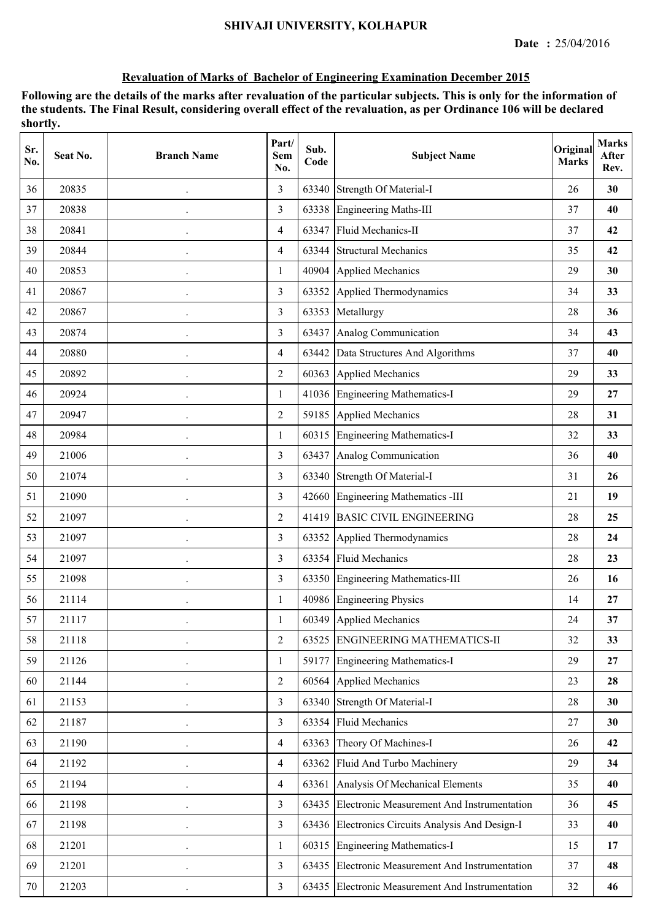| Sr.<br>No. | Seat No. | <b>Branch Name</b>   | Part/<br>Sem<br>No. | Sub.<br>Code | <b>Subject Name</b>                              | Original<br><b>Marks</b> | <b>Marks</b><br>After<br>Rev. |
|------------|----------|----------------------|---------------------|--------------|--------------------------------------------------|--------------------------|-------------------------------|
| 36         | 20835    |                      | 3                   | 63340        | Strength Of Material-I                           | 26                       | 30                            |
| 37         | 20838    |                      | $\overline{3}$      |              | 63338 Engineering Maths-III                      | 37                       | 40                            |
| 38         | 20841    | $\cdot$              | $\overline{4}$      | 63347        | Fluid Mechanics-II                               | 37                       | 42                            |
| 39         | 20844    |                      | $\overline{4}$      | 63344        | <b>Structural Mechanics</b>                      | 35                       | 42                            |
| 40         | 20853    |                      | 1                   | 40904        | <b>Applied Mechanics</b>                         | 29                       | 30                            |
| 41         | 20867    | $\cdot$              | $\overline{3}$      | 63352        | Applied Thermodynamics                           | 34                       | 33                            |
| 42         | 20867    | $\ddot{\phantom{0}}$ | $\overline{3}$      | 63353        | Metallurgy                                       | 28                       | 36                            |
| 43         | 20874    |                      | $\overline{3}$      | 63437        | Analog Communication                             | 34                       | 43                            |
| 44         | 20880    |                      | $\overline{4}$      | 63442        | Data Structures And Algorithms                   | 37                       | 40                            |
| 45         | 20892    |                      | $\overline{2}$      | 60363        | <b>Applied Mechanics</b>                         | 29                       | 33                            |
| 46         | 20924    | $\ddot{\phantom{0}}$ | $\mathbf{1}$        |              | 41036 Engineering Mathematics-I                  | 29                       | 27                            |
| 47         | 20947    |                      | $\overline{2}$      |              | 59185 Applied Mechanics                          | 28                       | 31                            |
| 48         | 20984    |                      | 1                   | 60315        | <b>Engineering Mathematics-I</b>                 | 32                       | 33                            |
| 49         | 21006    |                      | $\overline{3}$      | 63437        | Analog Communication                             | 36                       | 40                            |
| 50         | 21074    | $\ddot{\phantom{0}}$ | $\overline{3}$      | 63340        | <b>Strength Of Material-I</b>                    | 31                       | 26                            |
| 51         | 21090    |                      | $\overline{3}$      |              | 42660 Engineering Mathematics -III               | 21                       | 19                            |
| 52         | 21097    |                      | $\overline{2}$      | 41419        | <b>BASIC CIVIL ENGINEERING</b>                   | 28                       | 25                            |
| 53         | 21097    | $\bullet$            | $\overline{3}$      | 63352        | Applied Thermodynamics                           | 28                       | 24                            |
| 54         | 21097    | $\ddot{\phantom{0}}$ | 3                   |              | 63354 Fluid Mechanics                            | 28                       | 23                            |
| 55         | 21098    |                      | $\overline{3}$      |              | 63350 Engineering Mathematics-III                | 26                       | 16                            |
| 56         | 21114    |                      | 1                   |              | 40986 Engineering Physics                        | 14                       | 27                            |
| 57         | 21117    |                      | 1                   |              | 60349 Applied Mechanics                          | 24                       | 37                            |
| 58         | 21118    | $\ddot{\phantom{0}}$ | $\overline{2}$      | 63525        | ENGINEERING MATHEMATICS-II                       | 32                       | 33                            |
| 59         | 21126    |                      | 1                   |              | 59177 Engineering Mathematics-I                  | 29                       | 27                            |
| 60         | 21144    |                      | $\overline{2}$      | 60564        | <b>Applied Mechanics</b>                         | 23                       | 28                            |
| 61         | 21153    |                      | $\overline{3}$      |              | 63340 Strength Of Material-I                     | 28                       | 30                            |
| 62         | 21187    | $\ddot{\phantom{0}}$ | $\overline{3}$      |              | 63354 Fluid Mechanics                            | 27                       | 30                            |
| 63         | 21190    | $\ddot{\phantom{0}}$ | $\overline{4}$      |              | 63363 Theory Of Machines-I                       | 26                       | 42                            |
| 64         | 21192    |                      | $\overline{4}$      |              | 63362 Fluid And Turbo Machinery                  | 29                       | 34                            |
| 65         | 21194    | $\ddot{\phantom{0}}$ | $\overline{4}$      | 63361        | Analysis Of Mechanical Elements                  | 35                       | 40                            |
| 66         | 21198    | $\cdot$              | 3                   |              | 63435 Electronic Measurement And Instrumentation | 36                       | 45                            |
| 67         | 21198    |                      | $\overline{3}$      |              | 63436 Electronics Circuits Analysis And Design-I | 33                       | 40                            |
| 68         | 21201    |                      | $\mathbf{1}$        |              | 60315 Engineering Mathematics-I                  | 15                       | 17                            |
| 69         | 21201    |                      | $\overline{3}$      |              | 63435 Electronic Measurement And Instrumentation | 37                       | 48                            |
| 70         | 21203    | $\ddot{\phantom{0}}$ | $\overline{3}$      |              | 63435 Electronic Measurement And Instrumentation | 32                       | 46                            |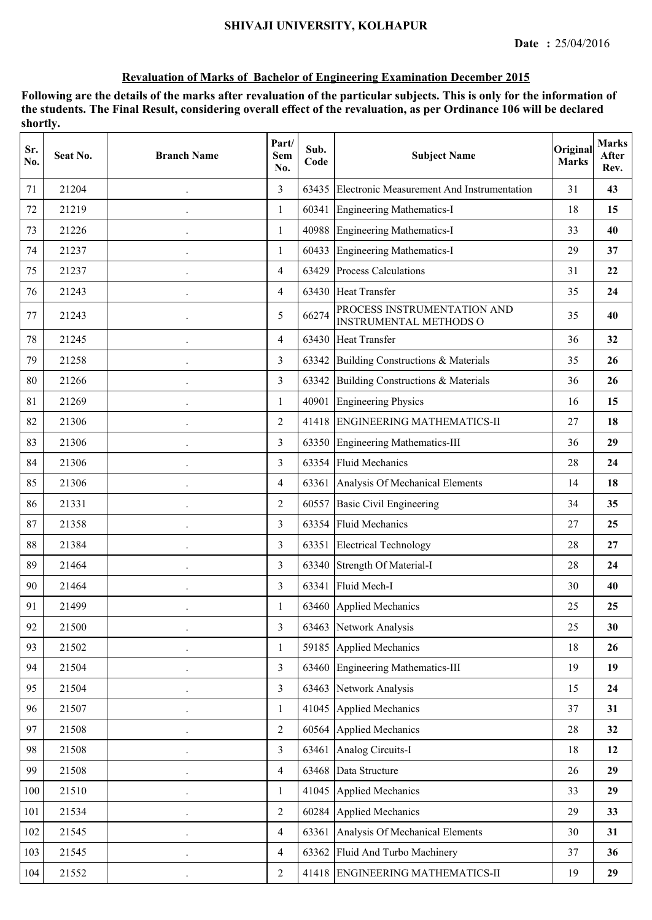| Sr.<br>No. | Seat No. | <b>Branch Name</b>   | Part/<br>Sem<br>No. | Sub.<br>Code | <b>Subject Name</b>                                          | Original<br><b>Marks</b> | <b>Marks</b><br>After<br>Rev. |
|------------|----------|----------------------|---------------------|--------------|--------------------------------------------------------------|--------------------------|-------------------------------|
| 71         | 21204    |                      | 3                   | 63435        | Electronic Measurement And Instrumentation                   | 31                       | 43                            |
| 72         | 21219    |                      | $\mathbf{1}$        | 60341        | Engineering Mathematics-I                                    | 18                       | 15                            |
| 73         | 21226    |                      | $\mathbf{1}$        |              | 40988 Engineering Mathematics-I                              | 33                       | 40                            |
| 74         | 21237    |                      | $\mathbf{1}$        |              | 60433 Engineering Mathematics-I                              | 29                       | 37                            |
| 75         | 21237    |                      | $\overline{4}$      |              | 63429 Process Calculations                                   | 31                       | 22                            |
| 76         | 21243    |                      | $\overline{4}$      |              | 63430 Heat Transfer                                          | 35                       | 24                            |
| 77         | 21243    |                      | 5                   | 66274        | PROCESS INSTRUMENTATION AND<br><b>INSTRUMENTAL METHODS O</b> | 35                       | 40                            |
| 78         | 21245    |                      | $\overline{4}$      |              | 63430 Heat Transfer                                          | 36                       | 32                            |
| 79         | 21258    |                      | $\overline{3}$      | 63342        | Building Constructions & Materials                           | 35                       | 26                            |
| 80         | 21266    |                      | $\overline{3}$      | 63342        | Building Constructions & Materials                           | 36                       | 26                            |
| 81         | 21269    |                      | 1                   | 40901        | <b>Engineering Physics</b>                                   | 16                       | 15                            |
| 82         | 21306    |                      | $\overline{2}$      |              | 41418 ENGINEERING MATHEMATICS-II                             | 27                       | 18                            |
| 83         | 21306    |                      | 3                   |              | 63350 Engineering Mathematics-III                            | 36                       | 29                            |
| 84         | 21306    |                      | $\overline{3}$      | 63354        | <b>Fluid Mechanics</b>                                       | 28                       | 24                            |
| 85         | 21306    |                      | $\overline{4}$      |              | 63361 Analysis Of Mechanical Elements                        | 14                       | 18                            |
| 86         | 21331    |                      | $\overline{2}$      | 60557        | <b>Basic Civil Engineering</b>                               | 34                       | 35                            |
| 87         | 21358    |                      | 3                   | 63354        | <b>Fluid Mechanics</b>                                       | 27                       | 25                            |
| 88         | 21384    |                      | 3                   | 63351        | <b>Electrical Technology</b>                                 | 28                       | 27                            |
| 89         | 21464    |                      | $\overline{3}$      |              | 63340 Strength Of Material-I                                 | 28                       | 24                            |
| 90         | 21464    |                      | 3                   |              | 63341 Fluid Mech-I                                           | 30                       | 40                            |
| 91         | 21499    |                      | 1                   |              | 63460 Applied Mechanics                                      | 25                       | 25                            |
| 92         | 21500    |                      | 3                   |              | 63463 Network Analysis                                       | 25                       | 30                            |
| 93         | 21502    | $\cdot$              | $\mathbf{1}$        |              | 59185 Applied Mechanics                                      | 18                       | 26                            |
| 94         | 21504    |                      | $\overline{3}$      | 63460        | Engineering Mathematics-III                                  | 19                       | 19                            |
| 95         | 21504    |                      | $\overline{3}$      | 63463        | Network Analysis                                             | 15                       | 24                            |
| 96         | 21507    |                      | $\mathbf{1}$        | 41045        | Applied Mechanics                                            | 37                       | 31                            |
| 97         | 21508    |                      | $\overline{2}$      |              | 60564 Applied Mechanics                                      | 28                       | 32                            |
| 98         | 21508    | $\ddot{\phantom{a}}$ | $\overline{3}$      | 63461        | Analog Circuits-I                                            | 18                       | 12                            |
| 99         | 21508    |                      | $\overline{4}$      |              | 63468 Data Structure                                         | 26                       | 29                            |
| 100        | 21510    |                      | $\mathbf{1}$        |              | 41045 Applied Mechanics                                      | 33                       | 29                            |
| 101        | 21534    | $\cdot$              | $\overline{2}$      | 60284        | <b>Applied Mechanics</b>                                     | 29                       | 33                            |
| 102        | 21545    | $\ddot{\phantom{0}}$ | $\overline{4}$      | 63361        | Analysis Of Mechanical Elements                              | 30                       | 31                            |
| 103        | 21545    |                      | $\overline{4}$      | 63362        | Fluid And Turbo Machinery                                    | 37                       | 36                            |
| 104        | 21552    |                      | $\overline{2}$      |              | 41418 ENGINEERING MATHEMATICS-II                             | 19                       | 29                            |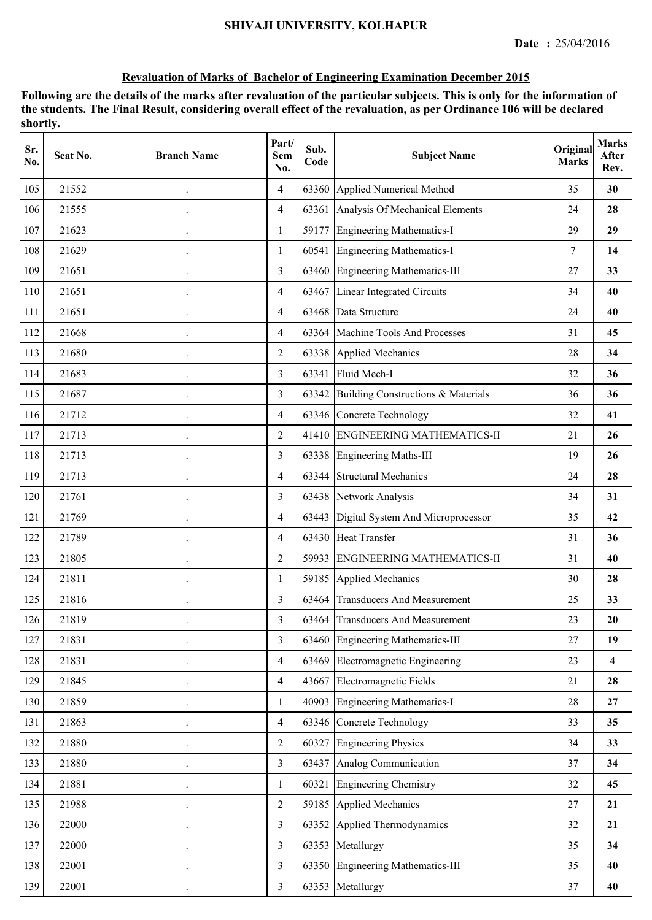| Sr.<br>No. | Seat No. | <b>Branch Name</b>   | Part/<br>Sem<br>No. | Sub.<br>Code | <b>Subject Name</b>                      | Original<br><b>Marks</b> | <b>Marks</b><br>After<br>Rev. |
|------------|----------|----------------------|---------------------|--------------|------------------------------------------|--------------------------|-------------------------------|
| 105        | 21552    |                      | $\overline{4}$      | 63360        | Applied Numerical Method                 | 35                       | 30                            |
| 106        | 21555    |                      | $\overline{4}$      |              | 63361 Analysis Of Mechanical Elements    | 24                       | 28                            |
| 107        | 21623    |                      | $\mathbf{1}$        |              | 59177 Engineering Mathematics-I          | 29                       | 29                            |
| 108        | 21629    |                      | 1                   |              | 60541 Engineering Mathematics-I          | 7                        | 14                            |
| 109        | 21651    |                      | $\overline{3}$      |              | 63460 Engineering Mathematics-III        | 27                       | 33                            |
| 110        | 21651    |                      | $\overline{4}$      | 63467        | Linear Integrated Circuits               | 34                       | 40                            |
| 111        | 21651    |                      | $\overline{4}$      | 63468        | Data Structure                           | 24                       | 40                            |
| 112        | 21668    |                      | $\overline{4}$      | 63364        | Machine Tools And Processes              | 31                       | 45                            |
| 113        | 21680    |                      | $\overline{2}$      |              | 63338 Applied Mechanics                  | 28                       | 34                            |
| 114        | 21683    |                      | $\overline{3}$      | 63341        | Fluid Mech-I                             | 32                       | 36                            |
| 115        | 21687    |                      | 3                   |              | 63342 Building Constructions & Materials | 36                       | 36                            |
| 116        | 21712    |                      | $\overline{4}$      |              | 63346 Concrete Technology                | 32                       | 41                            |
| 117        | 21713    |                      | $\overline{2}$      |              | 41410 ENGINEERING MATHEMATICS-II         | 21                       | 26                            |
| 118        | 21713    |                      | $\overline{3}$      |              | 63338 Engineering Maths-III              | 19                       | 26                            |
| 119        | 21713    |                      | $\overline{4}$      | 63344        | <b>Structural Mechanics</b>              | 24                       | 28                            |
| 120        | 21761    |                      | 3                   |              | 63438 Network Analysis                   | 34                       | 31                            |
| 121        | 21769    |                      | $\overline{4}$      | 63443        | Digital System And Microprocessor        | 35                       | 42                            |
| 122        | 21789    |                      | $\overline{4}$      |              | 63430 Heat Transfer                      | 31                       | 36                            |
| 123        | 21805    | $\cdot$              | $\overline{2}$      |              | 59933 ENGINEERING MATHEMATICS-II         | 31                       | 40                            |
| 124        | 21811    |                      | 1                   |              | 59185 Applied Mechanics                  | 30                       | 28                            |
| 125        | 21816    |                      | 3                   | 63464        | <b>Transducers And Measurement</b>       | 25                       | 33                            |
| 126        | 21819    |                      | 3                   |              | 63464 Transducers And Measurement        | 23                       | 20                            |
| 127        | 21831    |                      | 3                   | 63460        | Engineering Mathematics-III              | 27                       | 19                            |
| 128        | 21831    |                      | $\overline{4}$      | 63469        | Electromagnetic Engineering              | 23                       | $\overline{\mathbf{4}}$       |
| 129        | 21845    |                      | $\overline{4}$      |              | 43667 Electromagnetic Fields             | 21                       | 28                            |
| 130        | 21859    |                      | $\mathbf{1}$        |              | 40903 Engineering Mathematics-I          | 28                       | 27                            |
| 131        | 21863    | $\ddot{\phantom{a}}$ | $\overline{4}$      |              | 63346 Concrete Technology                | 33                       | 35                            |
| 132        | 21880    |                      | $\overline{2}$      |              | 60327 Engineering Physics                | 34                       | 33                            |
| 133        | 21880    |                      | $\overline{3}$      | 63437        | Analog Communication                     | 37                       | 34                            |
| 134        | 21881    |                      | $\mathbf{1}$        | 60321        | <b>Engineering Chemistry</b>             | 32                       | 45                            |
| 135        | 21988    | $\cdot$              | $\overline{2}$      |              | 59185 Applied Mechanics                  | 27                       | 21                            |
| 136        | 22000    |                      | $\overline{3}$      | 63352        | Applied Thermodynamics                   | 32                       | 21                            |
| 137        | 22000    |                      | $\overline{3}$      |              | 63353 Metallurgy                         | 35                       | 34                            |
| 138        | 22001    |                      | $\overline{3}$      |              | 63350 Engineering Mathematics-III        | 35                       | 40                            |
| 139        | 22001    | $\cdot$              | $\overline{3}$      |              | 63353 Metallurgy                         | 37                       | 40                            |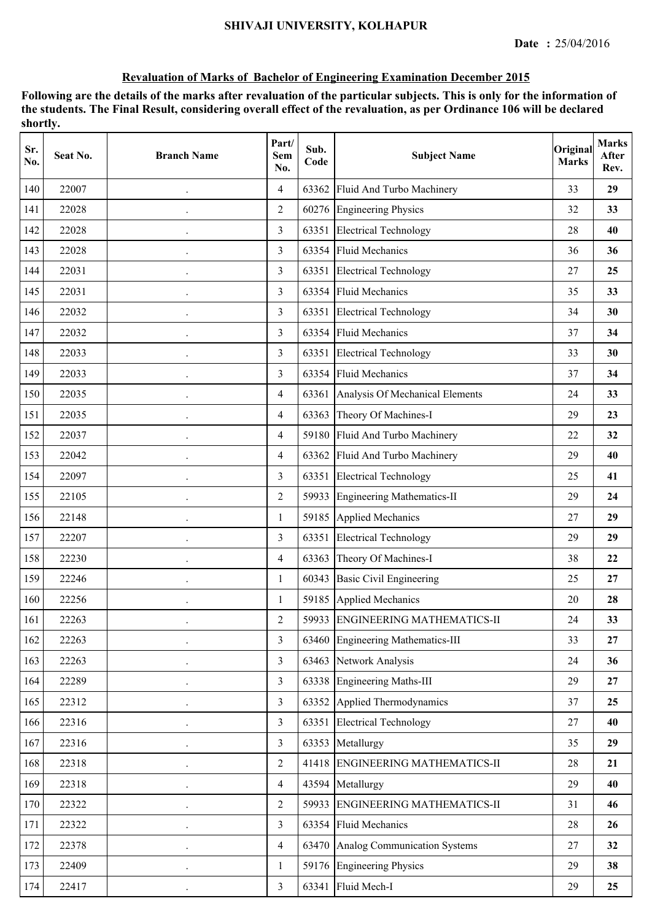| Sr.<br>No. | Seat No. | <b>Branch Name</b>   | Part/<br>Sem<br>No. | Sub.<br>Code | <b>Subject Name</b>                   | Original<br><b>Marks</b> | <b>Marks</b><br>After<br>Rev. |
|------------|----------|----------------------|---------------------|--------------|---------------------------------------|--------------------------|-------------------------------|
| 140        | 22007    |                      | $\overline{4}$      | 63362        | Fluid And Turbo Machinery             | 33                       | 29                            |
| 141        | 22028    |                      | $\overline{2}$      |              | 60276 Engineering Physics             | 32                       | 33                            |
| 142        | 22028    |                      | 3                   | 63351        | <b>Electrical Technology</b>          | 28                       | 40                            |
| 143        | 22028    | $\bullet$            | $\overline{3}$      |              | 63354 Fluid Mechanics                 | 36                       | 36                            |
| 144        | 22031    |                      | 3                   |              | 63351 Electrical Technology           | 27                       | 25                            |
| 145        | 22031    |                      | $\overline{3}$      |              | 63354 Fluid Mechanics                 | 35                       | 33                            |
| 146        | 22032    |                      | $\overline{3}$      | 63351        | <b>Electrical Technology</b>          | 34                       | 30                            |
| 147        | 22032    |                      | 3                   | 63354        | <b>Fluid Mechanics</b>                | 37                       | 34                            |
| 148        | 22033    |                      | 3                   | 63351        | <b>Electrical Technology</b>          | 33                       | 30                            |
| 149        | 22033    |                      | 3                   | 63354        | <b>Fluid Mechanics</b>                | 37                       | 34                            |
| 150        | 22035    |                      | $\overline{4}$      |              | 63361 Analysis Of Mechanical Elements | 24                       | 33                            |
| 151        | 22035    | $\ddot{\phantom{0}}$ | $\overline{4}$      |              | 63363 Theory Of Machines-I            | 29                       | 23                            |
| 152        | 22037    |                      | $\overline{4}$      |              | 59180 Fluid And Turbo Machinery       | 22                       | 32                            |
| 153        | 22042    |                      | $\overline{4}$      | 63362        | Fluid And Turbo Machinery             | 29                       | 40                            |
| 154        | 22097    |                      | 3                   | 63351        | <b>Electrical Technology</b>          | 25                       | 41                            |
| 155        | 22105    |                      | $\overline{2}$      | 59933        | <b>Engineering Mathematics-II</b>     | 29                       | 24                            |
| 156        | 22148    |                      | 1                   | 59185        | <b>Applied Mechanics</b>              | 27                       | 29                            |
| 157        | 22207    |                      | 3                   | 63351        | <b>Electrical Technology</b>          | 29                       | 29                            |
| 158        | 22230    |                      | $\overline{4}$      | 63363        | Theory Of Machines-I                  | 38                       | 22                            |
| 159        | 22246    | $\bullet$            | $\mathbf{1}$        |              | 60343 Basic Civil Engineering         | 25                       | 27                            |
| 160        | 22256    |                      | 1                   |              | 59185 Applied Mechanics               | 20                       | 28                            |
| 161        | 22263    |                      | $\overline{2}$      |              | 59933 ENGINEERING MATHEMATICS-II      | 24                       | 33                            |
| 162        | 22263    |                      | $\overline{3}$      | 63460        | Engineering Mathematics-III           | 33                       | 27                            |
| 163        | 22263    | $\ddot{\phantom{0}}$ | $\overline{3}$      |              | 63463 Network Analysis                | 24                       | 36                            |
| 164        | 22289    |                      | $\overline{3}$      |              | 63338 Engineering Maths-III           | 29                       | 27                            |
| 165        | 22312    |                      | $\overline{3}$      |              | 63352 Applied Thermodynamics          | 37                       | 25                            |
| 166        | 22316    |                      | $\overline{3}$      |              | 63351 Electrical Technology           | 27                       | 40                            |
| 167        | 22316    | $\bullet$            | $\overline{3}$      |              | 63353 Metallurgy                      | 35                       | 29                            |
| 168        | 22318    |                      | $\overline{2}$      |              | 41418 ENGINEERING MATHEMATICS-II      | 28                       | 21                            |
| 169        | 22318    |                      | $\overline{4}$      |              | 43594 Metallurgy                      | 29                       | 40                            |
| 170        | 22322    |                      | $\overline{2}$      |              | 59933 ENGINEERING MATHEMATICS-II      | 31                       | 46                            |
| 171        | 22322    | $\cdot$              | $\overline{3}$      | 63354        | <b>Fluid Mechanics</b>                | 28                       | 26                            |
| 172        | 22378    |                      | $\overline{4}$      |              | 63470 Analog Communication Systems    | 27                       | 32                            |
| 173        | 22409    |                      | $\mathbf{1}$        |              | 59176 Engineering Physics             | 29                       | 38                            |
| 174        | 22417    |                      | $\overline{3}$      |              | 63341 Fluid Mech-I                    | 29                       | 25                            |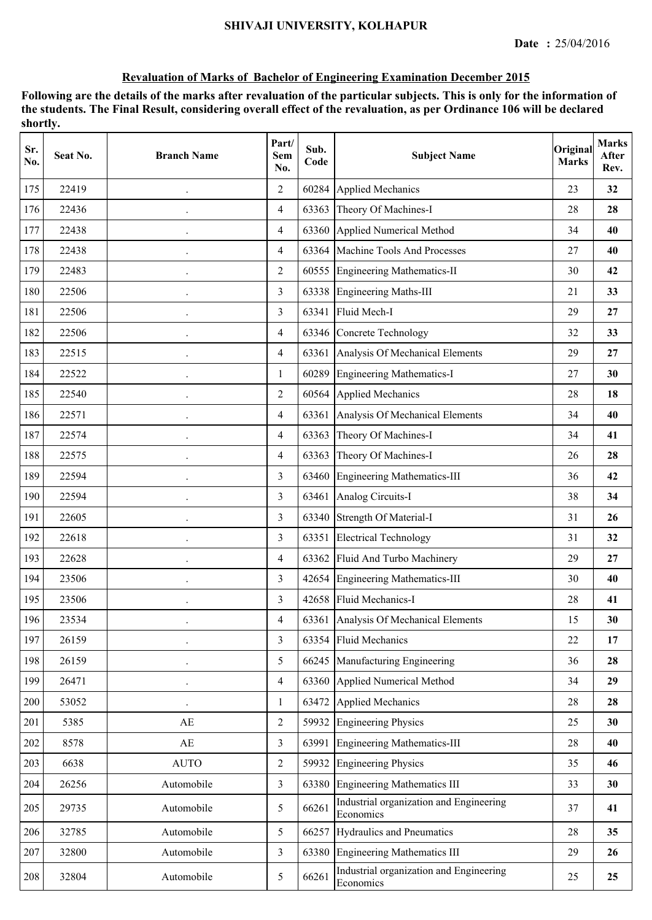| Sr.<br>No. | Seat No. | <b>Branch Name</b>     | Part/<br><b>Sem</b><br>No. | Sub.<br>Code | <b>Subject Name</b>                                  | Original<br><b>Marks</b> | <b>Marks</b><br>After<br>Rev. |
|------------|----------|------------------------|----------------------------|--------------|------------------------------------------------------|--------------------------|-------------------------------|
| 175        | 22419    |                        | $\overline{2}$             | 60284        | <b>Applied Mechanics</b>                             | 23                       | 32                            |
| 176        | 22436    |                        | $\overline{4}$             | 63363        | Theory Of Machines-I                                 | 28                       | 28                            |
| 177        | 22438    | $\ddot{\phantom{0}}$   | 4                          | 63360        | Applied Numerical Method                             | 34                       | 40                            |
| 178        | 22438    | $\ddot{\phantom{0}}$   | $\overline{4}$             |              | 63364 Machine Tools And Processes                    | 27                       | 40                            |
| 179        | 22483    | $\ddot{\phantom{0}}$   | $\overline{2}$             |              | 60555 Engineering Mathematics-II                     | 30                       | 42                            |
| 180        | 22506    |                        | 3                          | 63338        | <b>Engineering Maths-III</b>                         | 21                       | 33                            |
| 181        | 22506    | $\bullet$              | $\overline{3}$             | 63341        | Fluid Mech-I                                         | 29                       | 27                            |
| 182        | 22506    | $\ddot{\phantom{0}}$   | $\overline{4}$             | 63346        | Concrete Technology                                  | 32                       | 33                            |
| 183        | 22515    |                        | $\overline{4}$             | 63361        | Analysis Of Mechanical Elements                      | 29                       | 27                            |
| 184        | 22522    |                        | 1                          | 60289        | <b>Engineering Mathematics-I</b>                     | 27                       | 30                            |
| 185        | 22540    |                        | $\overline{2}$             | 60564        | <b>Applied Mechanics</b>                             | 28                       | 18                            |
| 186        | 22571    | $\ddot{\phantom{0}}$   | $\overline{4}$             |              | 63361 Analysis Of Mechanical Elements                | 34                       | 40                            |
| 187        | 22574    | $\bullet$              | $\overline{4}$             | 63363        | Theory Of Machines-I                                 | 34                       | 41                            |
| 188        | 22575    |                        | $\overline{4}$             | 63363        | Theory Of Machines-I                                 | 26                       | 28                            |
| 189        | 22594    | $\ddot{\phantom{a}}$   | 3                          | 63460        | <b>Engineering Mathematics-III</b>                   | 36                       | 42                            |
| 190        | 22594    |                        | 3                          | 63461        | Analog Circuits-I                                    | 38                       | 34                            |
| 191        | 22605    | $\ddot{\phantom{0}}$   | 3                          | 63340        | Strength Of Material-I                               | 31                       | 26                            |
| 192        | 22618    |                        | 3                          | 63351        | <b>Electrical Technology</b>                         | 31                       | 32                            |
| 193        | 22628    | $\cdot$                | $\overline{4}$             | 63362        | Fluid And Turbo Machinery                            | 29                       | 27                            |
| 194        | 23506    | $\ddot{\phantom{0}}$   | 3                          |              | 42654 Engineering Mathematics-III                    | 30                       | 40                            |
| 195        | 23506    | $\ddot{\phantom{0}}$   | 3                          |              | 42658 Fluid Mechanics-I                              | 28                       | 41                            |
| 196        | 23534    |                        | $\overline{4}$             |              | 63361 Analysis Of Mechanical Elements                | 15                       | 30                            |
| 197        | 26159    |                        | $\overline{3}$             |              | 63354 Fluid Mechanics                                | 22                       | 17                            |
| 198        | 26159    | $\bullet$              | 5                          |              | 66245 Manufacturing Engineering                      | 36                       | 28                            |
| 199        | 26471    | $\bullet$              | $\overline{4}$             | 63360        | Applied Numerical Method                             | 34                       | 29                            |
| 200        | 53052    |                        | 1                          | 63472        | <b>Applied Mechanics</b>                             | $28\,$                   | 28                            |
| 201        | 5385     | $\mathbf{A}\mathbf{E}$ | $\overline{2}$             | 59932        | <b>Engineering Physics</b>                           | 25                       | 30                            |
| 202        | 8578     | $\mathbf{A}\mathbf{E}$ | 3                          | 63991        | Engineering Mathematics-III                          | 28                       | 40                            |
| 203        | 6638     | <b>AUTO</b>            | $\overline{2}$             | 59932        | <b>Engineering Physics</b>                           | 35                       | 46                            |
| 204        | 26256    | Automobile             | $\overline{3}$             |              | 63380 Engineering Mathematics III                    | 33                       | 30                            |
| 205        | 29735    | Automobile             | 5                          | 66261        | Industrial organization and Engineering<br>Economics | 37                       | 41                            |
| 206        | 32785    | Automobile             | 5                          | 66257        | Hydraulics and Pneumatics                            | $28\,$                   | 35                            |
| 207        | 32800    | Automobile             | $\overline{3}$             | 63380        | <b>Engineering Mathematics III</b>                   | 29                       | 26                            |
| 208        | 32804    | Automobile             | 5                          | 66261        | Industrial organization and Engineering<br>Economics | 25                       | 25                            |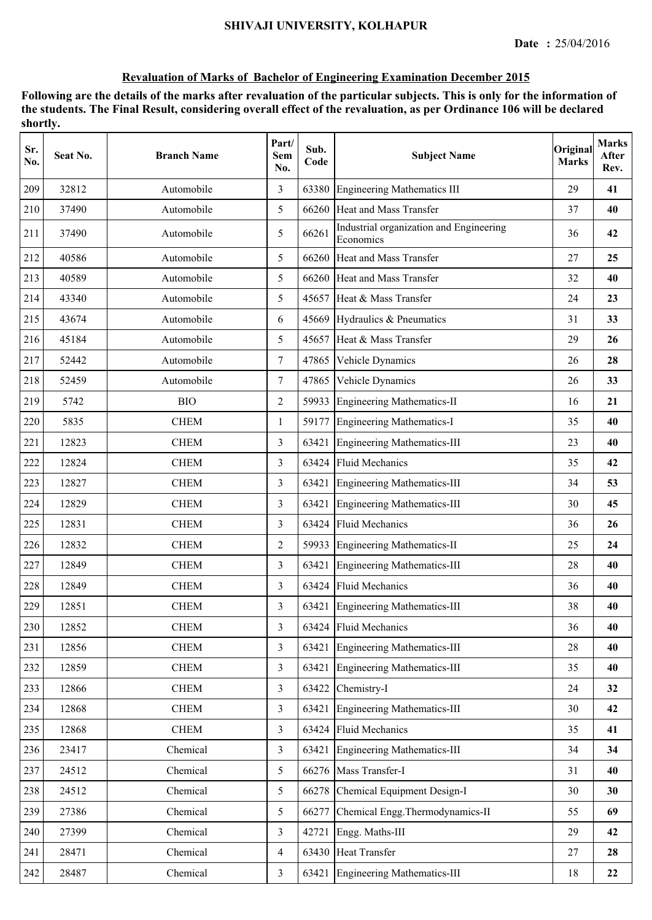| Sr.<br>No. | Seat No. | <b>Branch Name</b> | Part/<br>Sem<br>No. | Sub.<br>Code | <b>Subject Name</b>                                  | Original<br><b>Marks</b> | <b>Marks</b><br>After<br>Rev. |
|------------|----------|--------------------|---------------------|--------------|------------------------------------------------------|--------------------------|-------------------------------|
| 209        | 32812    | Automobile         | 3                   | 63380        | <b>Engineering Mathematics III</b>                   | 29                       | 41                            |
| 210        | 37490    | Automobile         | 5                   | 66260        | Heat and Mass Transfer                               | 37                       | 40                            |
| 211        | 37490    | Automobile         | 5                   | 66261        | Industrial organization and Engineering<br>Economics | 36                       | 42                            |
| 212        | 40586    | Automobile         | 5                   |              | 66260 Heat and Mass Transfer                         | 27                       | 25                            |
| 213        | 40589    | Automobile         | 5                   |              | 66260 Heat and Mass Transfer                         | 32                       | 40                            |
| 214        | 43340    | Automobile         | 5                   |              | 45657 Heat & Mass Transfer                           | 24                       | 23                            |
| 215        | 43674    | Automobile         | 6                   | 45669        | Hydraulics & Pneumatics                              | 31                       | 33                            |
| 216        | 45184    | Automobile         | 5                   | 45657        | Heat & Mass Transfer                                 | 29                       | 26                            |
| 217        | 52442    | Automobile         | $\tau$              | 47865        | Vehicle Dynamics                                     | 26                       | 28                            |
| 218        | 52459    | Automobile         | 7                   | 47865        | Vehicle Dynamics                                     | 26                       | 33                            |
| 219        | 5742     | <b>BIO</b>         | $\overline{2}$      | 59933        | Engineering Mathematics-II                           | 16                       | 21                            |
| 220        | 5835     | <b>CHEM</b>        | $\mathbf{1}$        | 59177        | Engineering Mathematics-I                            | 35                       | 40                            |
| 221        | 12823    | <b>CHEM</b>        | 3                   | 63421        | Engineering Mathematics-III                          | 23                       | 40                            |
| 222        | 12824    | <b>CHEM</b>        | 3                   | 63424        | <b>Fluid Mechanics</b>                               | 35                       | 42                            |
| 223        | 12827    | <b>CHEM</b>        | 3                   | 63421        | <b>Engineering Mathematics-III</b>                   | 34                       | 53                            |
| 224        | 12829    | <b>CHEM</b>        | 3                   | 63421        | <b>Engineering Mathematics-III</b>                   | 30                       | 45                            |
| 225        | 12831    | <b>CHEM</b>        | 3                   | 63424        | <b>Fluid Mechanics</b>                               | 36                       | 26                            |
| 226        | 12832    | <b>CHEM</b>        | 2                   | 59933        | <b>Engineering Mathematics-II</b>                    | 25                       | 24                            |
| 227        | 12849    | <b>CHEM</b>        | 3                   | 63421        | <b>Engineering Mathematics-III</b>                   | 28                       | 40                            |
| 228        | 12849    | <b>CHEM</b>        | 3                   |              | 63424 Fluid Mechanics                                | 36                       | 40                            |
| 229        | 12851    | <b>CHEM</b>        | 3                   |              | 63421 Engineering Mathematics-III                    | 38                       | 40                            |
| 230        | 12852    | <b>CHEM</b>        | 3                   |              | 63424 Fluid Mechanics                                | 36                       | 40                            |
| 231        | 12856    | <b>CHEM</b>        | $\overline{3}$      | 63421        | <b>Engineering Mathematics-III</b>                   | 28                       | 40                            |
| 232        | 12859    | <b>CHEM</b>        | $\overline{3}$      | 63421        | <b>Engineering Mathematics-III</b>                   | 35                       | 40                            |
| 233        | 12866    | <b>CHEM</b>        | $\overline{3}$      | 63422        | Chemistry-I                                          | 24                       | 32                            |
| 234        | 12868    | <b>CHEM</b>        | $\overline{3}$      | 63421        | <b>Engineering Mathematics-III</b>                   | 30                       | 42                            |
| 235        | 12868    | <b>CHEM</b>        | 3                   | 63424        | <b>Fluid Mechanics</b>                               | 35                       | 41                            |
| 236        | 23417    | Chemical           | $\overline{3}$      | 63421        | <b>Engineering Mathematics-III</b>                   | 34                       | 34                            |
| 237        | 24512    | Chemical           | 5                   |              | 66276 Mass Transfer-I                                | 31                       | 40                            |
| 238        | 24512    | Chemical           | 5                   | 66278        | Chemical Equipment Design-I                          | 30                       | 30                            |
| 239        | 27386    | Chemical           | 5                   | 66277        | Chemical Engg. Thermodynamics-II                     | 55                       | 69                            |
| 240        | 27399    | Chemical           | $\overline{3}$      | 42721        | Engg. Maths-III                                      | 29                       | 42                            |
| 241        | 28471    | Chemical           | 4                   | 63430        | <b>Heat Transfer</b>                                 | 27                       | 28                            |
| 242        | 28487    | Chemical           | 3                   | 63421        | <b>Engineering Mathematics-III</b>                   | 18                       | 22                            |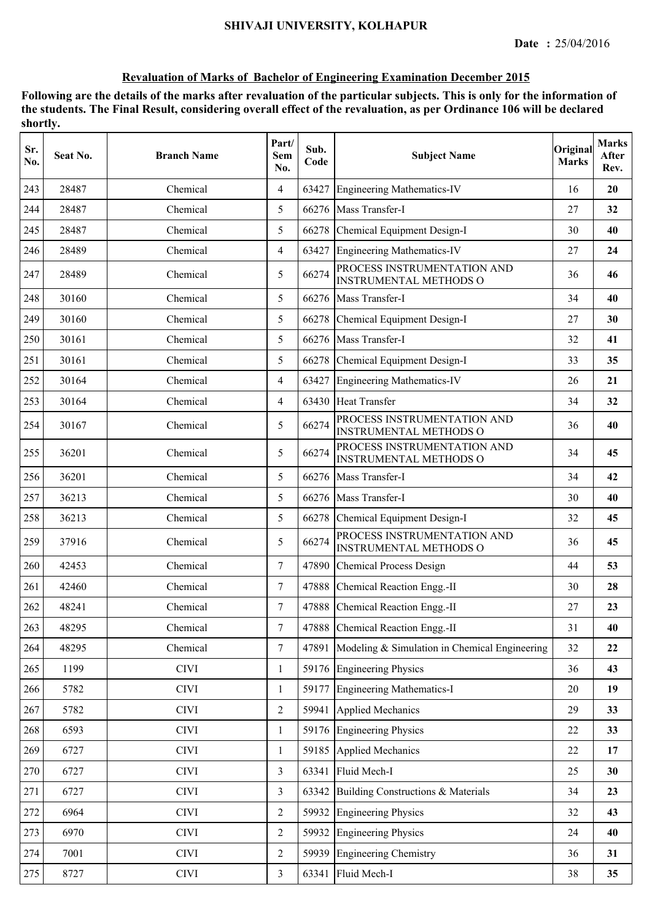| Sr.<br>No. | Seat No. | <b>Branch Name</b> | Part/<br><b>Sem</b><br>No. | Sub.<br>Code | <b>Subject Name</b>                                          | Original<br><b>Marks</b> | <b>Marks</b><br>After<br>Rev. |
|------------|----------|--------------------|----------------------------|--------------|--------------------------------------------------------------|--------------------------|-------------------------------|
| 243        | 28487    | Chemical           | $\overline{4}$             | 63427        | <b>Engineering Mathematics-IV</b>                            | 16                       | 20                            |
| 244        | 28487    | Chemical           | 5                          | 66276        | Mass Transfer-I                                              | 27                       | 32                            |
| 245        | 28487    | Chemical           | 5                          | 66278        | Chemical Equipment Design-I                                  | 30                       | 40                            |
| 246        | 28489    | Chemical           | $\overline{4}$             | 63427        | <b>Engineering Mathematics-IV</b>                            | 27                       | 24                            |
| 247        | 28489    | Chemical           | 5                          | 66274        | PROCESS INSTRUMENTATION AND<br><b>INSTRUMENTAL METHODS O</b> | 36                       | 46                            |
| 248        | 30160    | Chemical           | 5                          | 66276        | Mass Transfer-I                                              | 34                       | 40                            |
| 249        | 30160    | Chemical           | 5                          | 66278        | Chemical Equipment Design-I                                  | 27                       | 30                            |
| 250        | 30161    | Chemical           | 5                          | 66276        | Mass Transfer-I                                              | 32                       | 41                            |
| 251        | 30161    | Chemical           | 5                          | 66278        | Chemical Equipment Design-I                                  | 33                       | 35                            |
| 252        | 30164    | Chemical           | $\overline{4}$             | 63427        | <b>Engineering Mathematics-IV</b>                            | 26                       | 21                            |
| 253        | 30164    | Chemical           | $\overline{4}$             | 63430        | <b>Heat Transfer</b>                                         | 34                       | 32                            |
| 254        | 30167    | Chemical           | 5                          | 66274        | PROCESS INSTRUMENTATION AND<br><b>INSTRUMENTAL METHODS O</b> | 36                       | 40                            |
| 255        | 36201    | Chemical           | 5                          | 66274        | PROCESS INSTRUMENTATION AND<br><b>INSTRUMENTAL METHODS O</b> | 34                       | 45                            |
| 256        | 36201    | Chemical           | 5                          | 66276        | Mass Transfer-I                                              | 34                       | 42                            |
| 257        | 36213    | Chemical           | 5                          |              | 66276 Mass Transfer-I                                        | 30                       | 40                            |
| 258        | 36213    | Chemical           | 5                          | 66278        | Chemical Equipment Design-I                                  | 32                       | 45                            |
| 259        | 37916    | Chemical           | 5                          | 66274        | PROCESS INSTRUMENTATION AND<br><b>INSTRUMENTAL METHODS O</b> | 36                       | 45                            |
| 260        | 42453    | Chemical           | $\overline{7}$             | 47890        | <b>Chemical Process Design</b>                               | 44                       | 53                            |
| 261        | 42460    | Chemical           | $\tau$                     | 47888        | Chemical Reaction Engg.-II                                   | 30                       | 28                            |
| 262        | 48241    | Chemical           | $\tau$                     | 47888        | Chemical Reaction Engg.-II                                   | 27                       | 23                            |
| 263        | 48295    | Chemical           | 7                          |              | 47888 Chemical Reaction Engg.-II                             | 31                       | 40                            |
| 264        | 48295    | Chemical           | $\tau$                     | 47891        | Modeling & Simulation in Chemical Engineering                | 32                       | 22                            |
| 265        | 1199     | <b>CIVI</b>        | 1                          |              | 59176 Engineering Physics                                    | 36                       | 43                            |
| 266        | 5782     | <b>CIVI</b>        | $\mathbf{1}$               | 59177        | <b>Engineering Mathematics-I</b>                             | 20                       | 19                            |
| 267        | 5782     | <b>CIVI</b>        | $\overline{2}$             | 59941        | <b>Applied Mechanics</b>                                     | 29                       | 33                            |
| 268        | 6593     | <b>CIVI</b>        | $\mathbf{1}$               |              | 59176 Engineering Physics                                    | 22                       | 33                            |
| 269        | 6727     | <b>CIVI</b>        | 1                          | 59185        | <b>Applied Mechanics</b>                                     | 22                       | 17                            |
| 270        | 6727     | <b>CIVI</b>        | $\overline{3}$             | 63341        | Fluid Mech-I                                                 | 25                       | 30                            |
| 271        | 6727     | <b>CIVI</b>        | $\overline{3}$             | 63342        | Building Constructions & Materials                           | 34                       | 23                            |
| 272        | 6964     | <b>CIVI</b>        | $\overline{2}$             | 59932        | <b>Engineering Physics</b>                                   | 32                       | 43                            |
| 273        | 6970     | <b>CIVI</b>        | $\overline{2}$             | 59932        | <b>Engineering Physics</b>                                   | 24                       | 40                            |
| 274        | 7001     | <b>CIVI</b>        | $\overline{2}$             | 59939        | <b>Engineering Chemistry</b>                                 | 36                       | 31                            |
| 275        | 8727     | <b>CIVI</b>        | $\overline{3}$             | 63341        | Fluid Mech-I                                                 | 38                       | 35                            |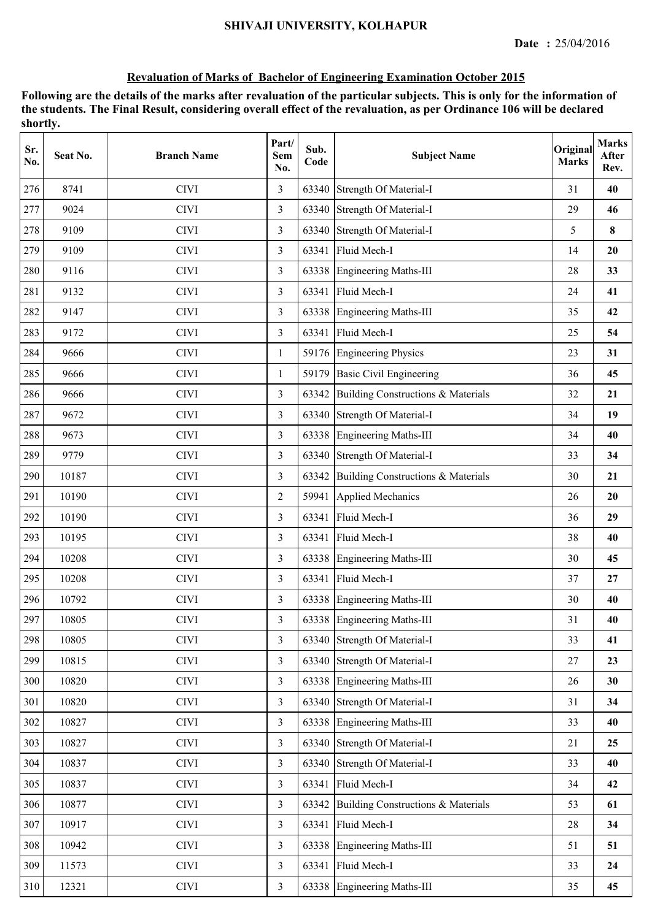| Sr.<br>No. | Seat No. | <b>Branch Name</b> | Part/<br>Sem<br>No. | Sub.<br>Code | <b>Subject Name</b>                      | Original<br><b>Marks</b> | <b>Marks</b><br>After<br>Rev. |
|------------|----------|--------------------|---------------------|--------------|------------------------------------------|--------------------------|-------------------------------|
| 276        | 8741     | <b>CIVI</b>        | 3                   | 63340        | Strength Of Material-I                   | 31                       | 40                            |
| 277        | 9024     | <b>CIVI</b>        | $\overline{3}$      |              | 63340 Strength Of Material-I             | 29                       | 46                            |
| 278        | 9109     | <b>CIVI</b>        | $\overline{3}$      |              | 63340 Strength Of Material-I             | 5                        | 8                             |
| 279        | 9109     | <b>CIVI</b>        | $\overline{3}$      | 63341        | Fluid Mech-I                             | 14                       | 20                            |
| 280        | 9116     | <b>CIVI</b>        | 3                   |              | 63338 Engineering Maths-III              | 28                       | 33                            |
| 281        | 9132     | <b>CIVI</b>        | 3                   | 63341        | Fluid Mech-I                             | 24                       | 41                            |
| 282        | 9147     | <b>CIVI</b>        | $\overline{3}$      |              | 63338 Engineering Maths-III              | 35                       | 42                            |
| 283        | 9172     | <b>CIVI</b>        | 3                   | 63341        | Fluid Mech-I                             | 25                       | 54                            |
| 284        | 9666     | <b>CIVI</b>        | 1                   |              | 59176 Engineering Physics                | 23                       | 31                            |
| 285        | 9666     | <b>CIVI</b>        | 1                   | 59179        | <b>Basic Civil Engineering</b>           | 36                       | 45                            |
| 286        | 9666     | <b>CIVI</b>        | $\overline{3}$      |              | 63342 Building Constructions & Materials | 32                       | 21                            |
| 287        | 9672     | <b>CIVI</b>        | 3                   |              | 63340 Strength Of Material-I             | 34                       | 19                            |
| 288        | 9673     | <b>CIVI</b>        | 3                   |              | 63338 Engineering Maths-III              | 34                       | 40                            |
| 289        | 9779     | <b>CIVI</b>        | 3                   |              | 63340 Strength Of Material-I             | 33                       | 34                            |
| 290        | 10187    | <b>CIVI</b>        | 3                   | 63342        | Building Constructions & Materials       | 30                       | 21                            |
| 291        | 10190    | <b>CIVI</b>        | 2                   | 59941        | <b>Applied Mechanics</b>                 | 26                       | 20                            |
| 292        | 10190    | <b>CIVI</b>        | 3                   | 63341        | Fluid Mech-I                             | 36                       | 29                            |
| 293        | 10195    | <b>CIVI</b>        | $\overline{3}$      | 63341        | Fluid Mech-I                             | 38                       | 40                            |
| 294        | 10208    | <b>CIVI</b>        | $\overline{3}$      |              | 63338 Engineering Maths-III              | 30                       | 45                            |
| 295        | 10208    | <b>CIVI</b>        | $\overline{3}$      | 63341        | Fluid Mech-I                             | 37                       | 27                            |
| 296        | 10792    | <b>CIVI</b>        | 3                   |              | 63338 Engineering Maths-III              | 30                       | 40                            |
| 297        | 10805    | <b>CIVI</b>        | 3                   |              | 63338 Engineering Maths-III              | 31                       | 40                            |
| 298        | 10805    | <b>CIVI</b>        | $\overline{3}$      |              | 63340 Strength Of Material-I             | 33                       | 41                            |
| 299        | 10815    | <b>CIVI</b>        | 3                   |              | 63340 Strength Of Material-I             | 27                       | 23                            |
| 300        | 10820    | <b>CIVI</b>        | 3                   |              | 63338 Engineering Maths-III              | 26                       | 30                            |
| 301        | 10820    | <b>CIVI</b>        | $\overline{3}$      |              | 63340 Strength Of Material-I             | 31                       | 34                            |
| 302        | 10827    | <b>CIVI</b>        | $\overline{3}$      |              | 63338 Engineering Maths-III              | 33                       | 40                            |
| 303        | 10827    | <b>CIVI</b>        | $\overline{3}$      |              | 63340 Strength Of Material-I             | 21                       | 25                            |
| 304        | 10837    | <b>CIVI</b>        | 3                   |              | 63340 Strength Of Material-I             | 33                       | 40                            |
| 305        | 10837    | <b>CIVI</b>        | $\overline{3}$      | 63341        | Fluid Mech-I                             | 34                       | 42                            |
| 306        | 10877    | <b>CIVI</b>        | 3                   | 63342        | Building Constructions & Materials       | 53                       | 61                            |
| 307        | 10917    | <b>CIVI</b>        | 3                   | 63341        | Fluid Mech-I                             | 28                       | 34                            |
| 308        | 10942    | <b>CIVI</b>        | 3                   |              | 63338 Engineering Maths-III              | 51                       | 51                            |
| 309        | 11573    | <b>CIVI</b>        | 3                   | 63341        | Fluid Mech-I                             | 33                       | 24                            |
| $310\,$    | 12321    | <b>CIVI</b>        | $\mathfrak{Z}$      |              | 63338 Engineering Maths-III              | 35                       | 45                            |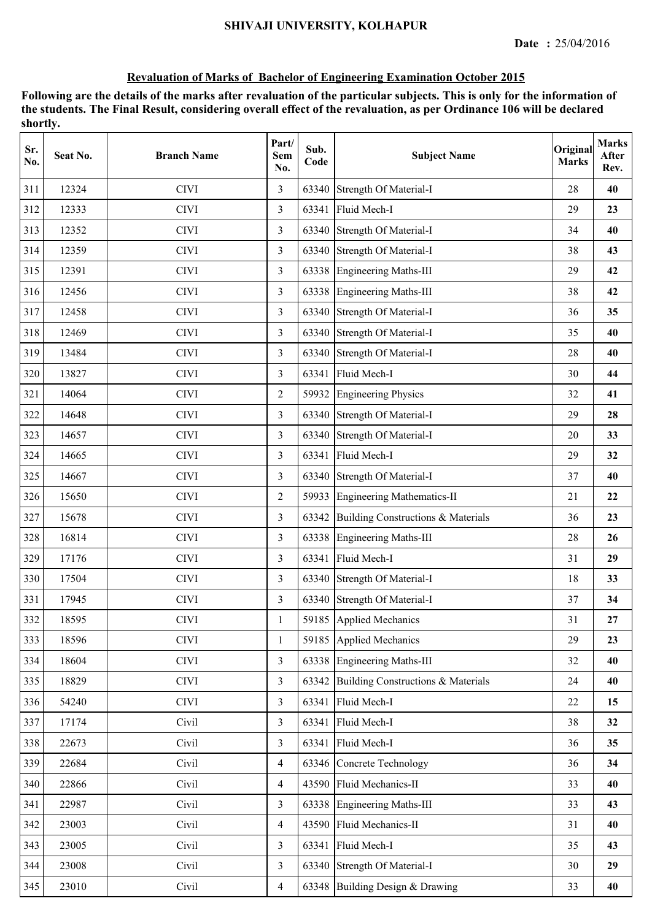| Sr.<br>No. | Seat No. | <b>Branch Name</b> | Part/<br><b>Sem</b><br>No. | Sub.<br>Code | <b>Subject Name</b>                | Original<br><b>Marks</b> | <b>Marks</b><br>After<br>Rev. |
|------------|----------|--------------------|----------------------------|--------------|------------------------------------|--------------------------|-------------------------------|
| 311        | 12324    | <b>CIVI</b>        | $\overline{3}$             | 63340        | Strength Of Material-I             | 28                       | 40                            |
| 312        | 12333    | <b>CIVI</b>        | $\overline{3}$             | 63341        | Fluid Mech-I                       | 29                       | 23                            |
| 313        | 12352    | <b>CIVI</b>        | 3                          |              | 63340 Strength Of Material-I       | 34                       | 40                            |
| 314        | 12359    | <b>CIVI</b>        | 3                          |              | 63340 Strength Of Material-I       | 38                       | 43                            |
| 315        | 12391    | <b>CIVI</b>        | $\overline{3}$             |              | 63338 Engineering Maths-III        | 29                       | 42                            |
| 316        | 12456    | <b>CIVI</b>        | 3                          | 63338        | Engineering Maths-III              | 38                       | 42                            |
| 317        | 12458    | <b>CIVI</b>        | 3                          |              | 63340 Strength Of Material-I       | 36                       | 35                            |
| 318        | 12469    | <b>CIVI</b>        | 3                          | 63340        | Strength Of Material-I             | 35                       | 40                            |
| 319        | 13484    | <b>CIVI</b>        | 3                          | 63340        | Strength Of Material-I             | 28                       | 40                            |
| 320        | 13827    | <b>CIVI</b>        | $\overline{3}$             | 63341        | Fluid Mech-I                       | 30                       | 44                            |
| 321        | 14064    | <b>CIVI</b>        | $\overline{2}$             |              | 59932 Engineering Physics          | 32                       | 41                            |
| 322        | 14648    | <b>CIVI</b>        | 3                          |              | 63340 Strength Of Material-I       | 29                       | 28                            |
| 323        | 14657    | <b>CIVI</b>        | $\overline{3}$             |              | 63340 Strength Of Material-I       | 20                       | 33                            |
| 324        | 14665    | <b>CIVI</b>        | $\overline{3}$             | 63341        | Fluid Mech-I                       | 29                       | 32                            |
| 325        | 14667    | <b>CIVI</b>        | 3                          | 63340        | Strength Of Material-I             | 37                       | 40                            |
| 326        | 15650    | <b>CIVI</b>        | $\overline{2}$             |              | 59933 Engineering Mathematics-II   | 21                       | 22                            |
| 327        | 15678    | <b>CIVI</b>        | $\overline{3}$             | 63342        | Building Constructions & Materials | 36                       | 23                            |
| 328        | 16814    | <b>CIVI</b>        | $\overline{3}$             |              | 63338 Engineering Maths-III        | 28                       | 26                            |
| 329        | 17176    | <b>CIVI</b>        | 3                          |              | 63341 Fluid Mech-I                 | 31                       | 29                            |
| 330        | 17504    | <b>CIVI</b>        | 3                          |              | 63340 Strength Of Material-I       | 18                       | 33                            |
| 331        | 17945    | <b>CIVI</b>        | 3                          |              | 63340 Strength Of Material-I       | 37                       | 34                            |
| 332        | 18595    | <b>CIVI</b>        |                            |              | 59185 Applied Mechanics            | 31                       | 27                            |
| 333        | 18596    | <b>CIVI</b>        | 1                          | 59185        | Applied Mechanics                  | 29                       | 23                            |
| 334        | 18604    | <b>CIVI</b>        | $\overline{3}$             |              | 63338 Engineering Maths-III        | 32                       | 40                            |
| 335        | 18829    | <b>CIVI</b>        | $\overline{3}$             | 63342        | Building Constructions & Materials | 24                       | 40                            |
| 336        | 54240    | <b>CIVI</b>        | $\overline{3}$             |              | 63341 Fluid Mech-I                 | 22                       | 15                            |
| 337        | 17174    | Civil              | $\overline{3}$             |              | 63341 Fluid Mech-I                 | 38                       | 32                            |
| 338        | 22673    | Civil              | $\overline{3}$             |              | 63341 Fluid Mech-I                 | 36                       | 35                            |
| 339        | 22684    | Civil              | $\overline{4}$             |              | 63346 Concrete Technology          | 36                       | 34                            |
| 340        | 22866    | Civil              | $\overline{4}$             |              | 43590 Fluid Mechanics-II           | 33                       | 40                            |
| 341        | 22987    | Civil              | 3                          |              | 63338 Engineering Maths-III        | 33                       | 43                            |
| 342        | 23003    | Civil              | $\overline{4}$             |              | 43590 Fluid Mechanics-II           | 31                       | 40                            |
| 343        | 23005    | Civil              | $\overline{3}$             |              | 63341 Fluid Mech-I                 | 35                       | 43                            |
| 344        | 23008    | Civil              | $\overline{3}$             |              | 63340 Strength Of Material-I       | 30                       | 29                            |
| 345        | 23010    | Civil              | $\overline{4}$             |              | 63348 Building Design & Drawing    | 33                       | 40                            |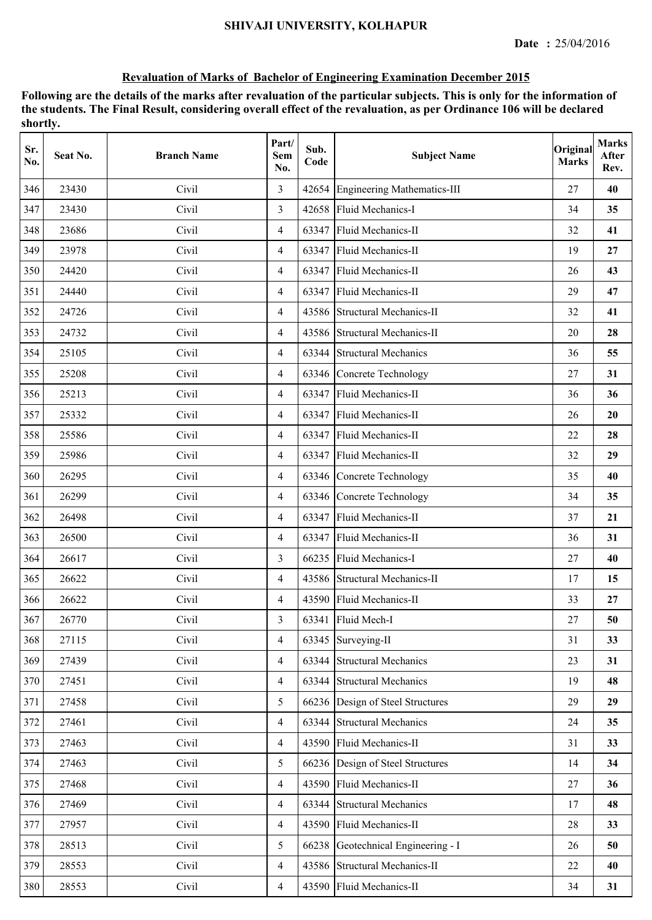| Sr.<br>No. | Seat No. | <b>Branch Name</b> | Part/<br><b>Sem</b><br>No. | Sub.<br>Code | <b>Subject Name</b>                | Original<br><b>Marks</b> | <b>Marks</b><br>After<br>Rev. |
|------------|----------|--------------------|----------------------------|--------------|------------------------------------|--------------------------|-------------------------------|
| 346        | 23430    | Civil              | 3                          | 42654        | <b>Engineering Mathematics-III</b> | 27                       | 40                            |
| 347        | 23430    | Civil              | 3                          | 42658        | Fluid Mechanics-I                  | 34                       | 35                            |
| 348        | 23686    | Civil              | $\overline{4}$             | 63347        | Fluid Mechanics-II                 | 32                       | 41                            |
| 349        | 23978    | Civil              | $\overline{4}$             | 63347        | Fluid Mechanics-II                 | 19                       | 27                            |
| 350        | 24420    | Civil              | $\overline{4}$             | 63347        | Fluid Mechanics-II                 | 26                       | 43                            |
| 351        | 24440    | Civil              | $\overline{4}$             | 63347        | Fluid Mechanics-II                 | 29                       | 47                            |
| 352        | 24726    | Civil              | $\overline{4}$             |              | 43586 Structural Mechanics-II      | 32                       | 41                            |
| 353        | 24732    | Civil              | 4                          | 43586        | <b>Structural Mechanics-II</b>     | 20                       | 28                            |
| 354        | 25105    | Civil              | $\overline{4}$             | 63344        | <b>Structural Mechanics</b>        | 36                       | 55                            |
| 355        | 25208    | Civil              | $\overline{4}$             | 63346        | Concrete Technology                | 27                       | 31                            |
| 356        | 25213    | Civil              | $\overline{4}$             | 63347        | Fluid Mechanics-II                 | 36                       | 36                            |
| 357        | 25332    | Civil              | $\overline{4}$             | 63347        | Fluid Mechanics-II                 | 26                       | 20                            |
| 358        | 25586    | Civil              | $\overline{4}$             | 63347        | Fluid Mechanics-II                 | 22                       | 28                            |
| 359        | 25986    | Civil              | $\overline{4}$             | 63347        | Fluid Mechanics-II                 | 32                       | 29                            |
| 360        | 26295    | Civil              | $\overline{4}$             | 63346        | Concrete Technology                | 35                       | 40                            |
| 361        | 26299    | Civil              | 4                          | 63346        | Concrete Technology                | 34                       | 35                            |
| 362        | 26498    | Civil              | $\overline{4}$             | 63347        | Fluid Mechanics-II                 | 37                       | 21                            |
| 363        | 26500    | Civil              | $\overline{4}$             | 63347        | Fluid Mechanics-II                 | 36                       | 31                            |
| 364        | 26617    | Civil              | 3                          |              | 66235 Fluid Mechanics-I            | 27                       | 40                            |
| 365        | 26622    | Civil              | $\overline{4}$             |              | 43586 Structural Mechanics-II      | 17                       | 15                            |
| 366        | 26622    | Civil              | $\overline{4}$             |              | 43590 Fluid Mechanics-II           | 33                       | 27                            |
| 367        | 26770    | Civil              | 3                          |              | 63341 Fluid Mech-I                 | 27                       | 50                            |
| 368        | 27115    | Civil              | $\overline{4}$             | 63345        | Surveying-II                       | 31                       | 33                            |
| 369        | 27439    | Civil              | 4                          | 63344        | <b>Structural Mechanics</b>        | 23                       | 31                            |
| 370        | 27451    | Civil              | 4                          | 63344        | <b>Structural Mechanics</b>        | 19                       | 48                            |
| 371        | 27458    | Civil              | 5                          |              | 66236 Design of Steel Structures   | 29                       | 29                            |
| 372        | 27461    | Civil              | $\overline{4}$             | 63344        | <b>Structural Mechanics</b>        | 24                       | 35                            |
| 373        | 27463    | Civil              | $\overline{4}$             |              | 43590 Fluid Mechanics-II           | 31                       | 33                            |
| 374        | 27463    | Civil              | 5                          |              | 66236 Design of Steel Structures   | 14                       | 34                            |
| 375        | 27468    | Civil              | $\overline{4}$             |              | 43590 Fluid Mechanics-II           | 27                       | 36                            |
| 376        | 27469    | Civil              | 4                          | 63344        | <b>Structural Mechanics</b>        | 17                       | 48                            |
| 377        | 27957    | Civil              | 4                          | 43590        | Fluid Mechanics-II                 | 28                       | 33                            |
| 378        | 28513    | Civil              | 5                          | 66238        | Geotechnical Engineering - I       | 26                       | 50                            |
| 379        | 28553    | Civil              | 4                          |              | 43586 Structural Mechanics-II      | 22                       | 40                            |
| 380        | 28553    | Civil              | $\overline{4}$             |              | 43590 Fluid Mechanics-II           | 34                       | 31                            |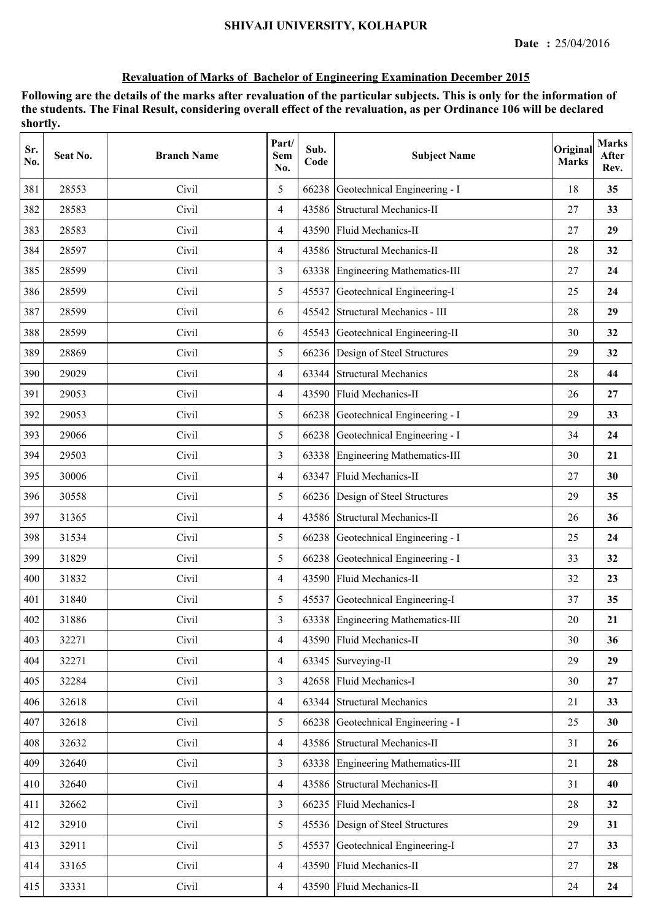| Sr.<br>No. | Seat No. | <b>Branch Name</b> | Part/<br><b>Sem</b><br>No. | Sub.<br>Code | <b>Subject Name</b>                | Original<br><b>Marks</b> | <b>Marks</b><br>After<br>Rev. |
|------------|----------|--------------------|----------------------------|--------------|------------------------------------|--------------------------|-------------------------------|
| 381        | 28553    | Civil              | 5                          | 66238        | Geotechnical Engineering - I       | 18                       | 35                            |
| 382        | 28583    | Civil              | $\overline{4}$             |              | 43586 Structural Mechanics-II      | 27                       | 33                            |
| 383        | 28583    | Civil              | 4                          | 43590        | Fluid Mechanics-II                 | 27                       | 29                            |
| 384        | 28597    | Civil              | $\overline{4}$             |              | 43586 Structural Mechanics-II      | 28                       | 32                            |
| 385        | 28599    | Civil              | 3                          |              | 63338 Engineering Mathematics-III  | 27                       | 24                            |
| 386        | 28599    | Civil              | 5                          | 45537        | Geotechnical Engineering-I         | 25                       | 24                            |
| 387        | 28599    | Civil              | 6                          | 45542        | Structural Mechanics - III         | 28                       | 29                            |
| 388        | 28599    | Civil              | 6                          | 45543        | Geotechnical Engineering-II        | 30                       | 32                            |
| 389        | 28869    | Civil              | 5                          |              | 66236 Design of Steel Structures   | 29                       | 32                            |
| 390        | 29029    | Civil              | $\overline{4}$             | 63344        | <b>Structural Mechanics</b>        | 28                       | 44                            |
| 391        | 29053    | Civil              | $\overline{4}$             |              | 43590 Fluid Mechanics-II           | 26                       | 27                            |
| 392        | 29053    | Civil              | 5                          | 66238        | Geotechnical Engineering - I       | 29                       | 33                            |
| 393        | 29066    | Civil              | 5                          | 66238        | Geotechnical Engineering - I       | 34                       | 24                            |
| 394        | 29503    | Civil              | $\overline{3}$             | 63338        | <b>Engineering Mathematics-III</b> | 30                       | 21                            |
| 395        | 30006    | Civil              | $\overline{4}$             | 63347        | Fluid Mechanics-II                 | 27                       | 30                            |
| 396        | 30558    | Civil              | 5                          | 66236        | Design of Steel Structures         | 29                       | 35                            |
| 397        | 31365    | Civil              | $\overline{4}$             |              | 43586 Structural Mechanics-II      | 26                       | 36                            |
| 398        | 31534    | Civil              | 5                          | 66238        | Geotechnical Engineering - I       | 25                       | 24                            |
| 399        | 31829    | Civil              | 5                          | 66238        | Geotechnical Engineering - I       | 33                       | 32                            |
| 400        | 31832    | Civil              | $\overline{4}$             |              | 43590 Fluid Mechanics-II           | 32                       | 23                            |
| 401        | 31840    | Civil              | 5                          | 45537        | Geotechnical Engineering-I         | 37                       | 35                            |
| 402        | 31886    | Civil              | 3                          |              | 63338 Engineering Mathematics-III  | 20                       | 21                            |
| 403        | 32271    | Civil              | $\overline{4}$             | 43590        | Fluid Mechanics-II                 | 30                       | 36                            |
| 404        | 32271    | Civil              | $\overline{4}$             |              | 63345 Surveying-II                 | 29                       | 29                            |
| 405        | 32284    | Civil              | 3                          |              | 42658 Fluid Mechanics-I            | 30                       | 27                            |
| 406        | 32618    | Civil              | $\overline{4}$             |              | 63344 Structural Mechanics         | 21                       | 33                            |
| 407        | 32618    | Civil              | 5                          | 66238        | Geotechnical Engineering - I       | 25                       | 30                            |
| 408        | 32632    | Civil              | $\overline{4}$             |              | 43586 Structural Mechanics-II      | 31                       | 26                            |
| 409        | 32640    | Civil              | $\overline{3}$             |              | 63338 Engineering Mathematics-III  | 21                       | 28                            |
| 410        | 32640    | Civil              | $\overline{4}$             |              | 43586 Structural Mechanics-II      | 31                       | 40                            |
| 411        | 32662    | Civil              | $\overline{3}$             | 66235        | Fluid Mechanics-I                  | 28                       | 32                            |
| 412        | 32910    | Civil              | 5                          | 45536        | Design of Steel Structures         | 29                       | 31                            |
| 413        | 32911    | Civil              | 5                          | 45537        | Geotechnical Engineering-I         | 27                       | 33                            |
| 414        | 33165    | Civil              | $\overline{4}$             |              | 43590 Fluid Mechanics-II           | 27                       | 28                            |
| 415        | 33331    | Civil              | $\overline{4}$             |              | 43590 Fluid Mechanics-II           | 24                       | 24                            |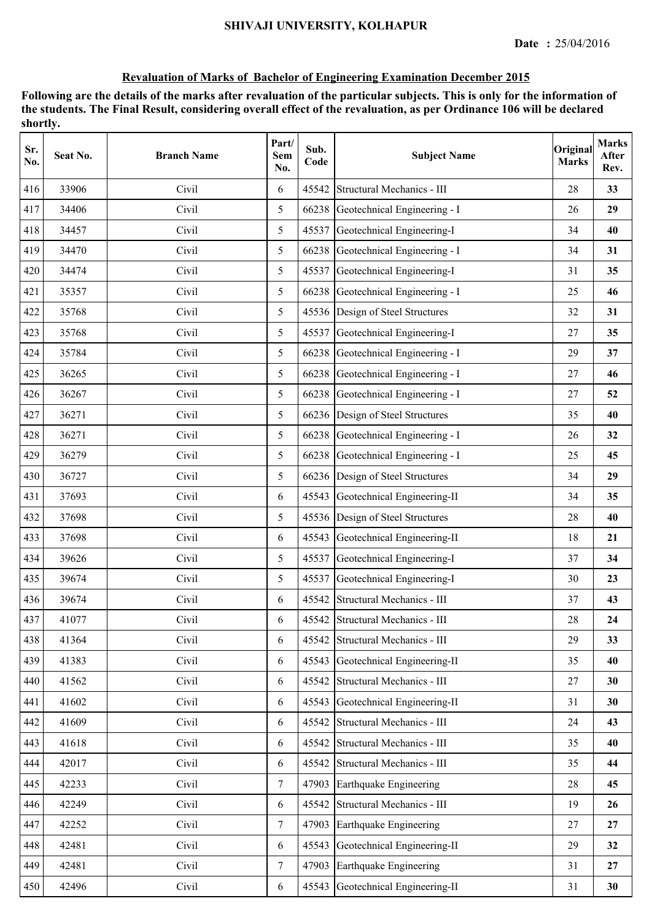| Sr.<br>No. | Seat No. | <b>Branch Name</b> | Part/<br>Sem<br>No. | Sub.<br>Code | <b>Subject Name</b>                | Original<br><b>Marks</b> | <b>Marks</b><br>After<br>Rev. |
|------------|----------|--------------------|---------------------|--------------|------------------------------------|--------------------------|-------------------------------|
| 416        | 33906    | Civil              | 6                   | 45542        | Structural Mechanics - III         | 28                       | 33                            |
| 417        | 34406    | Civil              | 5                   | 66238        | Geotechnical Engineering - I       | 26                       | 29                            |
| 418        | 34457    | Civil              | 5                   | 45537        | Geotechnical Engineering-I         | 34                       | 40                            |
| 419        | 34470    | Civil              | 5                   |              | 66238 Geotechnical Engineering - I | 34                       | 31                            |
| 420        | 34474    | Civil              | 5                   |              | 45537 Geotechnical Engineering-I   | 31                       | 35                            |
| 421        | 35357    | Civil              | 5                   |              | 66238 Geotechnical Engineering - I | 25                       | 46                            |
| 422        | 35768    | Civil              | 5                   |              | 45536 Design of Steel Structures   | 32                       | 31                            |
| 423        | 35768    | Civil              | 5                   | 45537        | Geotechnical Engineering-I         | 27                       | 35                            |
| 424        | 35784    | Civil              | 5                   |              | 66238 Geotechnical Engineering - I | 29                       | 37                            |
| 425        | 36265    | Civil              | 5                   | 66238        | Geotechnical Engineering - I       | 27                       | 46                            |
| 426        | 36267    | Civil              | 5                   |              | 66238 Geotechnical Engineering - I | 27                       | 52                            |
| 427        | 36271    | Civil              | 5                   |              | 66236 Design of Steel Structures   | 35                       | 40                            |
| 428        | 36271    | Civil              | 5                   |              | 66238 Geotechnical Engineering - I | 26                       | 32                            |
| 429        | 36279    | Civil              | 5                   |              | 66238 Geotechnical Engineering - I | 25                       | 45                            |
| 430        | 36727    | Civil              | 5                   |              | 66236 Design of Steel Structures   | 34                       | 29                            |
| 431        | 37693    | Civil              | 6                   | 45543        | Geotechnical Engineering-II        | 34                       | 35                            |
| 432        | 37698    | Civil              | 5                   | 45536        | Design of Steel Structures         | 28                       | 40                            |
| 433        | 37698    | Civil              | 6                   | 45543        | Geotechnical Engineering-II        | 18                       | 21                            |
| 434        | 39626    | Civil              | 5                   | 45537        | Geotechnical Engineering-I         | 37                       | 34                            |
| 435        | 39674    | Civil              | 5                   |              | 45537 Geotechnical Engineering-I   | 30                       | 23                            |
| 436        | 39674    | Civil              | 6                   | 45542        | Structural Mechanics - III         | 37                       | 43                            |
| 437        | 41077    | Civil              | 6                   |              | 45542 Structural Mechanics - III   | 28                       | 24                            |
| 438        | 41364    | Civil              | 6                   | 45542        | Structural Mechanics - III         | 29                       | 33                            |
| 439        | 41383    | Civil              | 6                   | 45543        | Geotechnical Engineering-II        | 35                       | 40                            |
| 440        | 41562    | Civil              | 6                   | 45542        | Structural Mechanics - III         | 27                       | 30                            |
| 441        | 41602    | Civil              | 6                   | 45543        | Geotechnical Engineering-II        | 31                       | 30                            |
| 442        | 41609    | Civil              | 6                   | 45542        | Structural Mechanics - III         | 24                       | 43                            |
| 443        | 41618    | Civil              | 6                   |              | 45542 Structural Mechanics - III   | 35                       | 40                            |
| 444        | 42017    | Civil              | 6                   | 45542        | Structural Mechanics - III         | 35                       | 44                            |
| 445        | 42233    | Civil              | $\tau$              | 47903        | Earthquake Engineering             | 28                       | 45                            |
| 446        | 42249    | Civil              | 6                   | 45542        | Structural Mechanics - III         | 19                       | 26                            |
| 447        | 42252    | Civil              | $\tau$              | 47903        | Earthquake Engineering             | 27                       | 27                            |
| 448        | 42481    | Civil              | 6                   | 45543        | Geotechnical Engineering-II        | 29                       | 32                            |
| 449        | 42481    | Civil              | $\tau$              | 47903        | Earthquake Engineering             | 31                       | 27                            |
| 450        | 42496    | Civil              | 6                   |              | 45543 Geotechnical Engineering-II  | 31                       | 30                            |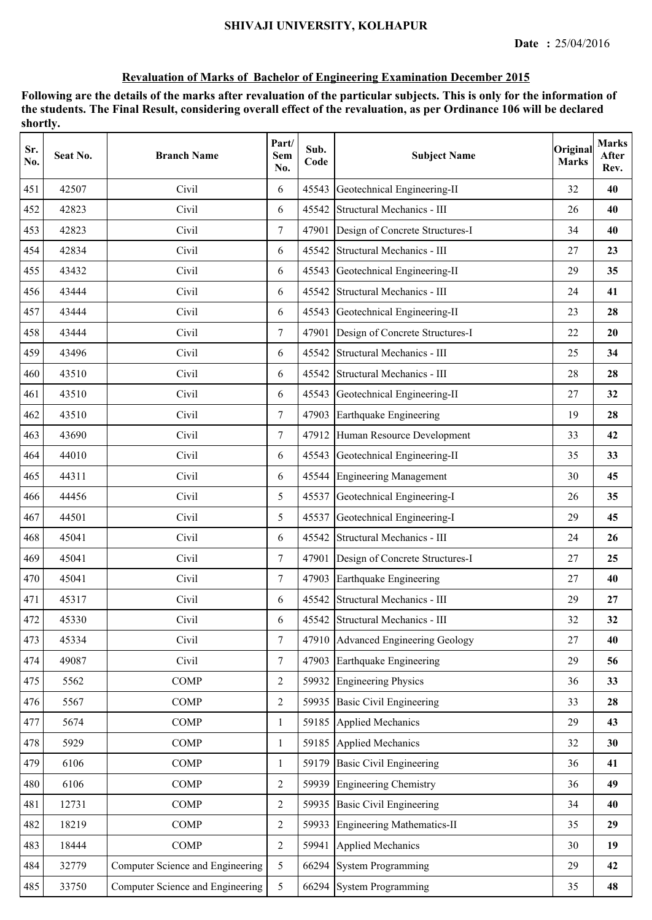| Sr.<br>No. | Seat No. | <b>Branch Name</b>               | Part/<br><b>Sem</b><br>No. | Sub.<br>Code | <b>Subject Name</b>                   | Original<br><b>Marks</b> | <b>Marks</b><br>After<br>Rev. |
|------------|----------|----------------------------------|----------------------------|--------------|---------------------------------------|--------------------------|-------------------------------|
| 451        | 42507    | Civil                            | 6                          | 45543        | Geotechnical Engineering-II           | 32                       | 40                            |
| 452        | 42823    | Civil                            | 6                          | 45542        | Structural Mechanics - III            | 26                       | 40                            |
| 453        | 42823    | Civil                            | $\tau$                     | 47901        | Design of Concrete Structures-I       | 34                       | 40                            |
| 454        | 42834    | Civil                            | 6                          | 45542        | Structural Mechanics - III            | 27                       | 23                            |
| 455        | 43432    | Civil                            | 6                          | 45543        | Geotechnical Engineering-II           | 29                       | 35                            |
| 456        | 43444    | Civil                            | 6                          | 45542        | Structural Mechanics - III            | 24                       | 41                            |
| 457        | 43444    | Civil                            | 6                          | 45543        | Geotechnical Engineering-II           | 23                       | 28                            |
| 458        | 43444    | Civil                            | $\tau$                     | 47901        | Design of Concrete Structures-I       | 22                       | 20                            |
| 459        | 43496    | Civil                            | 6                          | 45542        | Structural Mechanics - III            | 25                       | 34                            |
| 460        | 43510    | Civil                            | 6                          | 45542        | Structural Mechanics - III            | 28                       | 28                            |
| 461        | 43510    | Civil                            | 6                          | 45543        | Geotechnical Engineering-II           | 27                       | 32                            |
| 462        | 43510    | Civil                            | $\overline{7}$             | 47903        | Earthquake Engineering                | 19                       | 28                            |
| 463        | 43690    | Civil                            | $\tau$                     | 47912        | Human Resource Development            | 33                       | 42                            |
| 464        | 44010    | Civil                            | 6                          |              | 45543 Geotechnical Engineering-II     | 35                       | 33                            |
| 465        | 44311    | Civil                            | 6                          | 45544        | <b>Engineering Management</b>         | 30                       | 45                            |
| 466        | 44456    | Civil                            | 5                          | 45537        | Geotechnical Engineering-I            | 26                       | 35                            |
| 467        | 44501    | Civil                            | 5                          | 45537        | Geotechnical Engineering-I            | 29                       | 45                            |
| 468        | 45041    | Civil                            | 6                          | 45542        | Structural Mechanics - III            | 24                       | 26                            |
| 469        | 45041    | Civil                            | $\tau$                     |              | 47901 Design of Concrete Structures-I | 27                       | 25                            |
| 470        | 45041    | Civil                            | $\tau$                     |              | 47903 Earthquake Engineering          | 27                       | 40                            |
| 471        | 45317    | Civil                            | 6                          | 45542        | Structural Mechanics - III            | 29                       | 27                            |
| 472        | 45330    | Civil                            | 6                          |              | 45542 Structural Mechanics - III      | 32                       | 32                            |
| 473        | 45334    | Civil                            | $\tau$                     | 47910        | Advanced Engineering Geology          | 27                       | 40                            |
| 474        | 49087    | Civil                            | $\overline{7}$             | 47903        | Earthquake Engineering                | 29                       | 56                            |
| 475        | 5562     | <b>COMP</b>                      | $\overline{2}$             | 59932        | <b>Engineering Physics</b>            | 36                       | 33                            |
| 476        | 5567     | <b>COMP</b>                      | $\overline{2}$             | 59935        | <b>Basic Civil Engineering</b>        | 33                       | 28                            |
| 477        | 5674     | <b>COMP</b>                      | 1                          | 59185        | Applied Mechanics                     | 29                       | 43                            |
| 478        | 5929     | <b>COMP</b>                      | $\mathbf{1}$               | 59185        | Applied Mechanics                     | 32                       | 30                            |
| 479        | 6106     | <b>COMP</b>                      | 1                          | 59179        | <b>Basic Civil Engineering</b>        | 36                       | 41                            |
| 480        | 6106     | <b>COMP</b>                      | $\overline{2}$             | 59939        | <b>Engineering Chemistry</b>          | 36                       | 49                            |
| 481        | 12731    | <b>COMP</b>                      | $\overline{2}$             | 59935        | <b>Basic Civil Engineering</b>        | 34                       | 40                            |
| 482        | 18219    | <b>COMP</b>                      | $\overline{2}$             | 59933        | <b>Engineering Mathematics-II</b>     | 35                       | 29                            |
| 483        | 18444    | <b>COMP</b>                      | $\overline{2}$             | 59941        | Applied Mechanics                     | 30                       | 19                            |
| 484        | 32779    | Computer Science and Engineering | 5                          | 66294        | <b>System Programming</b>             | 29                       | 42                            |
| 485        | 33750    | Computer Science and Engineering | 5                          |              | 66294 System Programming              | 35                       | 48                            |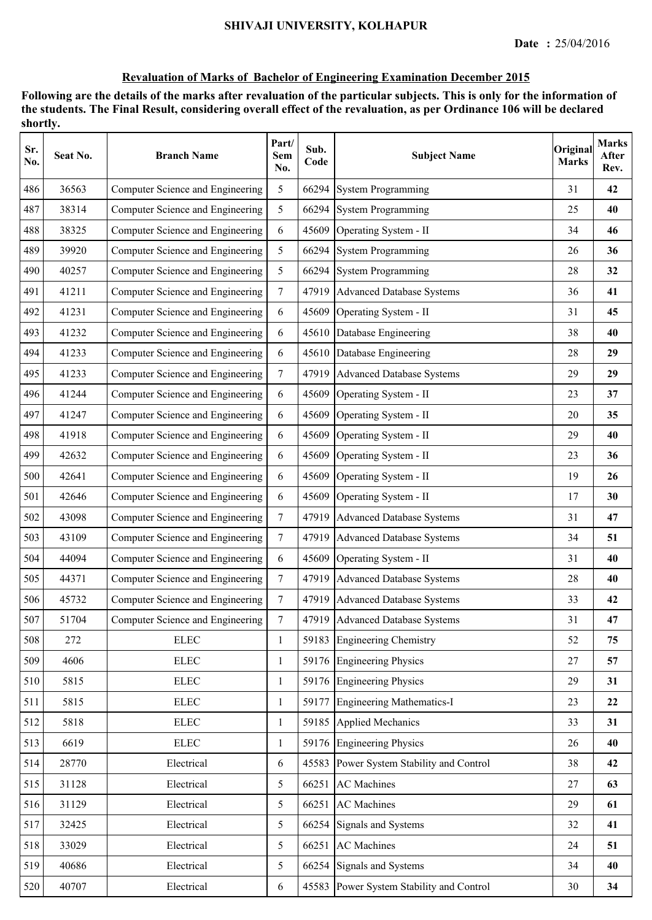| Sr.<br>No. | Seat No. | <b>Branch Name</b>               | Part/<br><b>Sem</b><br>No. | Sub.<br>Code | <b>Subject Name</b>                      | Original<br><b>Marks</b> | <b>Marks</b><br>After<br>Rev. |
|------------|----------|----------------------------------|----------------------------|--------------|------------------------------------------|--------------------------|-------------------------------|
| 486        | 36563    | Computer Science and Engineering | 5                          | 66294        | <b>System Programming</b>                | 31                       | 42                            |
| 487        | 38314    | Computer Science and Engineering | 5                          | 66294        | <b>System Programming</b>                | 25                       | 40                            |
| 488        | 38325    | Computer Science and Engineering | 6                          | 45609        | Operating System - II                    | 34                       | 46                            |
| 489        | 39920    | Computer Science and Engineering | 5                          | 66294        | System Programming                       | 26                       | 36                            |
| 490        | 40257    | Computer Science and Engineering | 5                          | 66294        | <b>System Programming</b>                | 28                       | 32                            |
| 491        | 41211    | Computer Science and Engineering | $7\overline{ }$            | 47919        | <b>Advanced Database Systems</b>         | 36                       | 41                            |
| 492        | 41231    | Computer Science and Engineering | 6                          | 45609        | Operating System - II                    | 31                       | 45                            |
| 493        | 41232    | Computer Science and Engineering | 6                          | 45610        | Database Engineering                     | 38                       | 40                            |
| 494        | 41233    | Computer Science and Engineering | 6                          | 45610        | Database Engineering                     | 28                       | 29                            |
| 495        | 41233    | Computer Science and Engineering | $7\overline{ }$            | 47919        | <b>Advanced Database Systems</b>         | 29                       | 29                            |
| 496        | 41244    | Computer Science and Engineering | 6                          | 45609        | Operating System - II                    | 23                       | 37                            |
| 497        | 41247    | Computer Science and Engineering | 6                          | 45609        | Operating System - II                    | 20                       | 35                            |
| 498        | 41918    | Computer Science and Engineering | 6                          | 45609        | Operating System - II                    | 29                       | 40                            |
| 499        | 42632    | Computer Science and Engineering | 6                          | 45609        | Operating System - II                    | 23                       | 36                            |
| 500        | 42641    | Computer Science and Engineering | 6                          | 45609        | Operating System - II                    | 19                       | 26                            |
| 501        | 42646    | Computer Science and Engineering | 6                          | 45609        | Operating System - II                    | 17                       | 30                            |
| 502        | 43098    | Computer Science and Engineering | $\tau$                     | 47919        | <b>Advanced Database Systems</b>         | 31                       | 47                            |
| 503        | 43109    | Computer Science and Engineering | $7\overline{ }$            | 47919        | Advanced Database Systems                | 34                       | 51                            |
| 504        | 44094    | Computer Science and Engineering | 6                          | 45609        | Operating System - II                    | 31                       | 40                            |
| 505        | 44371    | Computer Science and Engineering | $\tau$                     |              | 47919 Advanced Database Systems          | 28                       | 40                            |
| 506        | 45732    | Computer Science and Engineering | $7\overline{ }$            |              | 47919 Advanced Database Systems          | 33                       | 42                            |
| 507        | 51704    | Computer Science and Engineering | 7                          |              | 47919 Advanced Database Systems          | 31                       | 47                            |
| 508        | 272      | ${\rm E LEC}$                    | 1                          |              | 59183 Engineering Chemistry              | 52                       | 75                            |
| 509        | 4606     | ${\rm E LEC}$                    | 1                          |              | 59176 Engineering Physics                | 27                       | 57                            |
| 510        | 5815     | ${\rm ELLC}$                     | 1                          |              | 59176 Engineering Physics                | 29                       | 31                            |
| 511        | 5815     | ${\rm E LEC}$                    | $\mathbf{1}$               | 59177        | <b>Engineering Mathematics-I</b>         | 23                       | 22                            |
| 512        | 5818     | ${\rm E LEC}$                    | $\mathbf{1}$               |              | 59185 Applied Mechanics                  | 33                       | 31                            |
| 513        | 6619     | ${\rm E LEC}$                    | $\mathbf{1}$               |              | 59176 Engineering Physics                | 26                       | 40                            |
| 514        | 28770    | Electrical                       | 6                          |              | 45583 Power System Stability and Control | 38                       | 42                            |
| 515        | 31128    | Electrical                       | 5                          | 66251        | <b>AC</b> Machines                       | 27                       | 63                            |
| 516        | 31129    | Electrical                       | 5                          | 66251        | <b>AC</b> Machines                       | 29                       | 61                            |
| 517        | 32425    | Electrical                       | 5                          | 66254        | Signals and Systems                      | 32                       | 41                            |
| 518        | 33029    | Electrical                       | 5                          | 66251        | <b>AC</b> Machines                       | 24                       | 51                            |
| 519        | 40686    | Electrical                       | 5                          | 66254        | Signals and Systems                      | 34                       | 40                            |
| 520        | 40707    | Electrical                       | 6                          |              | 45583 Power System Stability and Control | 30                       | 34                            |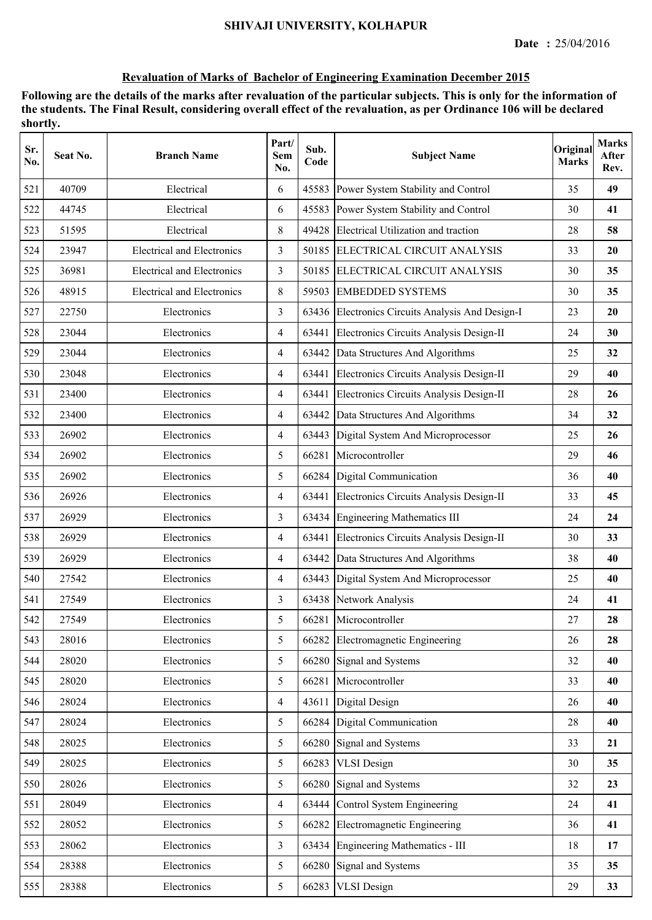| Sr.<br>No. | Seat No. | <b>Branch Name</b>                | Part/<br>Sem<br>No. | Sub.<br>Code | <b>Subject Name</b>                              | Original<br><b>Marks</b> | <b>Marks</b><br>After<br>Rev. |
|------------|----------|-----------------------------------|---------------------|--------------|--------------------------------------------------|--------------------------|-------------------------------|
| 521        | 40709    | Electrical                        | 6                   | 45583        | Power System Stability and Control               | 35                       | 49                            |
| 522        | 44745    | Electrical                        | 6                   | 45583        | Power System Stability and Control               | 30                       | 41                            |
| 523        | 51595    | Electrical                        | 8                   | 49428        | Electrical Utilization and traction              | 28                       | 58                            |
| 524        | 23947    | <b>Electrical and Electronics</b> | 3                   |              | 50185 ELECTRICAL CIRCUIT ANALYSIS                | 33                       | 20                            |
| 525        | 36981    | <b>Electrical and Electronics</b> | 3                   | 50185        | ELECTRICAL CIRCUIT ANALYSIS                      | 30                       | 35                            |
| 526        | 48915    | <b>Electrical and Electronics</b> | 8                   | 59503        | <b>EMBEDDED SYSTEMS</b>                          | 30                       | 35                            |
| 527        | 22750    | Electronics                       | 3                   |              | 63436 Electronics Circuits Analysis And Design-I | 23                       | 20                            |
| 528        | 23044    | Electronics                       | $\overline{4}$      | 63441        | Electronics Circuits Analysis Design-II          | 24                       | 30                            |
| 529        | 23044    | Electronics                       | $\overline{4}$      | 63442        | Data Structures And Algorithms                   | 25                       | 32                            |
| 530        | 23048    | Electronics                       | $\overline{4}$      | 63441        | Electronics Circuits Analysis Design-II          | 29                       | 40                            |
| 531        | 23400    | Electronics                       | $\overline{4}$      | 63441        | Electronics Circuits Analysis Design-II          | 28                       | 26                            |
| 532        | 23400    | Electronics                       | $\overline{4}$      | 63442        | Data Structures And Algorithms                   | 34                       | 32                            |
| 533        | 26902    | Electronics                       | $\overline{4}$      | 63443        | Digital System And Microprocessor                | 25                       | 26                            |
| 534        | 26902    | Electronics                       | 5                   | 66281        | Microcontroller                                  | 29                       | 46                            |
| 535        | 26902    | Electronics                       | 5                   |              | 66284 Digital Communication                      | 36                       | 40                            |
| 536        | 26926    | Electronics                       | $\overline{4}$      | 63441        | Electronics Circuits Analysis Design-II          | 33                       | 45                            |
| 537        | 26929    | Electronics                       | 3                   | 63434        | <b>Engineering Mathematics III</b>               | 24                       | 24                            |
| 538        | 26929    | Electronics                       | $\overline{4}$      | 63441        | Electronics Circuits Analysis Design-II          | 30                       | 33                            |
| 539        | 26929    | Electronics                       | $\overline{4}$      | 63442        | Data Structures And Algorithms                   | 38                       | 40                            |
| 540        | 27542    | Electronics                       | $\overline{4}$      | 63443        | Digital System And Microprocessor                | 25                       | 40                            |
| 541        | 27549    | Electronics                       | 3                   |              | 63438 Network Analysis                           | 24                       | 41                            |
| 542        | 27549    | Electronics                       | 5                   |              | 66281 Microcontroller                            | 27                       | 28                            |
| 543        | 28016    | Electronics                       | 5                   | 66282        | Electromagnetic Engineering                      | 26                       | 28                            |
| 544        | 28020    | Electronics                       | 5                   |              | 66280 Signal and Systems                         | 32                       | 40                            |
| 545        | 28020    | Electronics                       | 5                   | 66281        | Microcontroller                                  | 33                       | 40                            |
| 546        | 28024    | Electronics                       | $\overline{4}$      | 43611        | Digital Design                                   | 26                       | 40                            |
| 547        | 28024    | Electronics                       | 5                   | 66284        | <b>Digital Communication</b>                     | 28                       | 40                            |
| 548        | 28025    | Electronics                       | 5                   | 66280        | Signal and Systems                               | 33                       | 21                            |
| 549        | 28025    | Electronics                       | 5                   | 66283        | <b>VLSI</b> Design                               | 30                       | 35                            |
| 550        | 28026    | Electronics                       | 5                   | 66280        | Signal and Systems                               | 32                       | 23                            |
| 551        | 28049    | Electronics                       | $\overline{4}$      | 63444        | Control System Engineering                       | 24                       | 41                            |
| 552        | 28052    | Electronics                       | 5                   | 66282        | Electromagnetic Engineering                      | 36                       | 41                            |
| 553        | 28062    | Electronics                       | $\overline{3}$      | 63434        | Engineering Mathematics - III                    | 18                       | 17                            |
| 554        | 28388    | Electronics                       | 5                   | 66280        | Signal and Systems                               | 35                       | 35                            |
| 555        | 28388    | Electronics                       | 5                   | 66283        | <b>VLSI</b> Design                               | 29                       | 33                            |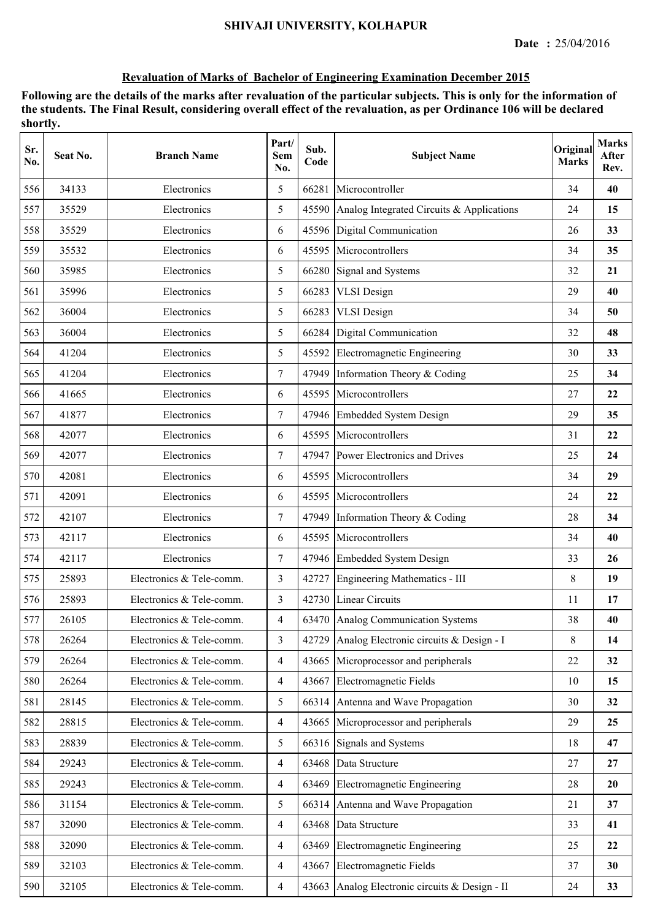| Sr.<br>No. | Seat No. | <b>Branch Name</b>       | Part/<br>Sem<br>No. | Sub.<br>Code | <b>Subject Name</b>                             | Original<br><b>Marks</b> | <b>Marks</b><br>After<br>Rev. |
|------------|----------|--------------------------|---------------------|--------------|-------------------------------------------------|--------------------------|-------------------------------|
| 556        | 34133    | Electronics              | 5                   | 66281        | Microcontroller                                 | 34                       | 40                            |
| 557        | 35529    | Electronics              | 5                   |              | 45590 Analog Integrated Circuits & Applications | 24                       | 15                            |
| 558        | 35529    | Electronics              | 6                   | 45596        | Digital Communication                           | 26                       | 33                            |
| 559        | 35532    | Electronics              | 6                   | 45595        | Microcontrollers                                | 34                       | 35                            |
| 560        | 35985    | Electronics              | 5                   |              | 66280 Signal and Systems                        | 32                       | 21                            |
| 561        | 35996    | Electronics              | 5                   | 66283        | <b>VLSI</b> Design                              | 29                       | 40                            |
| 562        | 36004    | Electronics              | 5                   | 66283        | <b>VLSI</b> Design                              | 34                       | 50                            |
| 563        | 36004    | Electronics              | 5                   | 66284        | Digital Communication                           | 32                       | 48                            |
| 564        | 41204    | Electronics              | 5                   | 45592        | Electromagnetic Engineering                     | 30                       | 33                            |
| 565        | 41204    | Electronics              | $\tau$              | 47949        | Information Theory & Coding                     | 25                       | 34                            |
| 566        | 41665    | Electronics              | 6                   | 45595        | Microcontrollers                                | 27                       | 22                            |
| 567        | 41877    | Electronics              | $\overline{7}$      |              | 47946 Embedded System Design                    | 29                       | 35                            |
| 568        | 42077    | Electronics              | 6                   |              | 45595 Microcontrollers                          | 31                       | 22                            |
| 569        | 42077    | Electronics              | $\tau$              |              | 47947 Power Electronics and Drives              | 25                       | 24                            |
| 570        | 42081    | Electronics              | 6                   | 45595        | Microcontrollers                                | 34                       | 29                            |
| 571        | 42091    | Electronics              | 6                   | 45595        | Microcontrollers                                | 24                       | 22                            |
| 572        | 42107    | Electronics              | $\tau$              | 47949        | Information Theory & Coding                     | 28                       | 34                            |
| 573        | 42117    | Electronics              | 6                   |              | 45595 Microcontrollers                          | 34                       | 40                            |
| 574        | 42117    | Electronics              | $\tau$              |              | 47946 Embedded System Design                    | 33                       | 26                            |
| 575        | 25893    | Electronics & Tele-comm. | 3                   |              | 42727 Engineering Mathematics - III             | 8                        | 19                            |
| 576        | 25893    | Electronics & Tele-comm. | 3                   |              | 42730 Linear Circuits                           | 11                       | 17                            |
| 577        | 26105    | Electronics & Tele-comm. | 4                   |              | 63470 Analog Communication Systems              | 38                       | 40                            |
| 578        | 26264    | Electronics & Tele-comm. | 3                   |              | 42729 Analog Electronic circuits & Design - I   | 8                        | 14                            |
| 579        | 26264    | Electronics & Tele-comm. | $\overline{4}$      |              | 43665 Microprocessor and peripherals            | 22                       | 32                            |
| 580        | 26264    | Electronics & Tele-comm. | $\overline{4}$      | 43667        | Electromagnetic Fields                          | 10                       | 15                            |
| 581        | 28145    | Electronics & Tele-comm. | 5                   | 66314        | Antenna and Wave Propagation                    | 30                       | 32                            |
| 582        | 28815    | Electronics & Tele-comm. | $\overline{4}$      | 43665        | Microprocessor and peripherals                  | 29                       | 25                            |
| 583        | 28839    | Electronics & Tele-comm. | 5                   | 66316        | Signals and Systems                             | 18                       | 47                            |
| 584        | 29243    | Electronics & Tele-comm. | $\overline{4}$      | 63468        | Data Structure                                  | 27                       | 27                            |
| 585        | 29243    | Electronics & Tele-comm. | $\overline{4}$      | 63469        | Electromagnetic Engineering                     | 28                       | 20                            |
| 586        | 31154    | Electronics & Tele-comm. | 5                   |              | 66314 Antenna and Wave Propagation              | 21                       | 37                            |
| 587        | 32090    | Electronics & Tele-comm. | $\overline{4}$      |              | 63468 Data Structure                            | 33                       | 41                            |
| 588        | 32090    | Electronics & Tele-comm. | $\overline{4}$      | 63469        | Electromagnetic Engineering                     | 25                       | 22                            |
| 589        | 32103    | Electronics & Tele-comm. | $\overline{4}$      | 43667        | Electromagnetic Fields                          | 37                       | 30                            |
| 590        | 32105    | Electronics & Tele-comm. | $\overline{4}$      | 43663        | Analog Electronic circuits & Design - II        | 24                       | 33                            |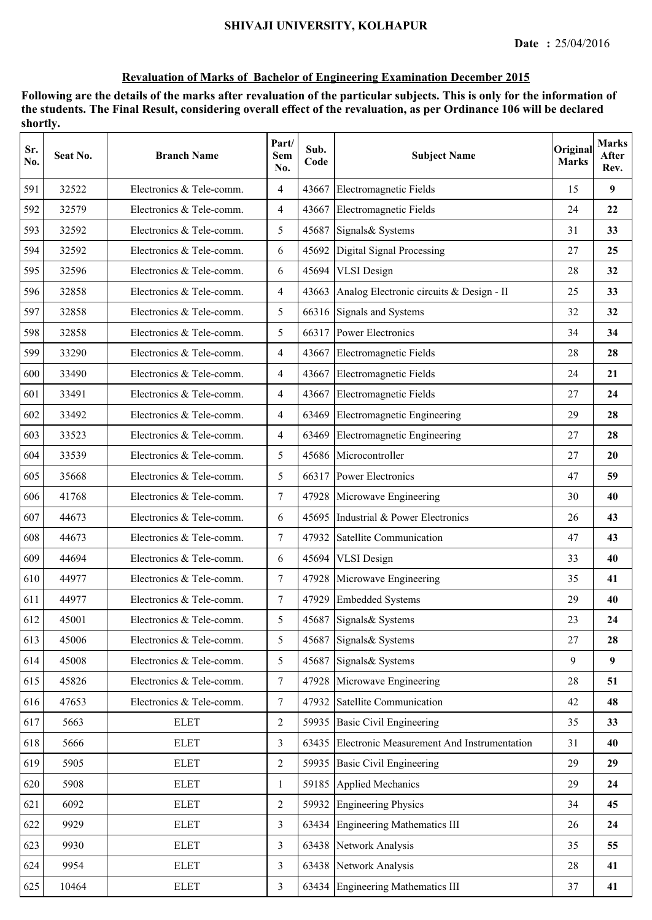| Sr.<br>No. | Seat No. | <b>Branch Name</b>       | Part/<br>Sem<br>No. | Sub.<br>Code | <b>Subject Name</b>                              | Original<br><b>Marks</b> | <b>Marks</b><br>After<br>Rev. |
|------------|----------|--------------------------|---------------------|--------------|--------------------------------------------------|--------------------------|-------------------------------|
| 591        | 32522    | Electronics & Tele-comm. | $\overline{4}$      | 43667        | Electromagnetic Fields                           | 15                       | 9                             |
| 592        | 32579    | Electronics & Tele-comm. | $\overline{4}$      | 43667        | Electromagnetic Fields                           | 24                       | 22                            |
| 593        | 32592    | Electronics & Tele-comm. | 5                   | 45687        | Signals& Systems                                 | 31                       | 33                            |
| 594        | 32592    | Electronics & Tele-comm. | 6                   | 45692        | Digital Signal Processing                        | 27                       | 25                            |
| 595        | 32596    | Electronics & Tele-comm. | 6                   | 45694        | <b>VLSI</b> Design                               | 28                       | 32                            |
| 596        | 32858    | Electronics & Tele-comm. | $\overline{4}$      |              | 43663 Analog Electronic circuits & Design - II   | 25                       | 33                            |
| 597        | 32858    | Electronics & Tele-comm. | 5                   |              | 66316 Signals and Systems                        | 32                       | 32                            |
| 598        | 32858    | Electronics & Tele-comm. | 5                   | 66317        | <b>Power Electronics</b>                         | 34                       | 34                            |
| 599        | 33290    | Electronics & Tele-comm. | $\overline{4}$      |              | 43667 Electromagnetic Fields                     | 28                       | 28                            |
| 600        | 33490    | Electronics & Tele-comm. | $\overline{4}$      | 43667        | Electromagnetic Fields                           | 24                       | 21                            |
| 601        | 33491    | Electronics & Tele-comm. | $\overline{4}$      | 43667        | Electromagnetic Fields                           | 27                       | 24                            |
| 602        | 33492    | Electronics & Tele-comm. | $\overline{4}$      | 63469        | Electromagnetic Engineering                      | 29                       | 28                            |
| 603        | 33523    | Electronics & Tele-comm. | $\overline{4}$      | 63469        | Electromagnetic Engineering                      | 27                       | 28                            |
| 604        | 33539    | Electronics & Tele-comm. | 5                   |              | 45686 Microcontroller                            | 27                       | 20                            |
| 605        | 35668    | Electronics & Tele-comm. | 5                   | 66317        | <b>Power Electronics</b>                         | 47                       | 59                            |
| 606        | 41768    | Electronics & Tele-comm. | $\tau$              | 47928        | Microwave Engineering                            | 30                       | 40                            |
| 607        | 44673    | Electronics & Tele-comm. | 6                   | 45695        | Industrial & Power Electronics                   | 26                       | 43                            |
| 608        | 44673    | Electronics & Tele-comm. | $\overline{7}$      | 47932        | Satellite Communication                          | 47                       | 43                            |
| 609        | 44694    | Electronics & Tele-comm. | 6                   | 45694        | <b>VLSI</b> Design                               | 33                       | 40                            |
| 610        | 44977    | Electronics & Tele-comm. | $\tau$              |              | 47928 Microwave Engineering                      | 35                       | 41                            |
| 611        | 44977    | Electronics & Tele-comm. | $\overline{7}$      |              | 47929 Embedded Systems                           | 29                       | 40                            |
| 612        | 45001    | Electronics & Tele-comm. | 5                   |              | 45687 Signals & Systems                          | 23                       | 24                            |
| 613        | 45006    | Electronics & Tele-comm. | 5 <sup>5</sup>      | 45687        | Signals& Systems                                 | 27                       | 28                            |
| 614        | 45008    | Electronics & Tele-comm. | 5                   | 45687        | Signals& Systems                                 | 9                        | 9                             |
| 615        | 45826    | Electronics & Tele-comm. | $7\overline{ }$     | 47928        | Microwave Engineering                            | 28                       | 51                            |
| 616        | 47653    | Electronics & Tele-comm. | $\tau$              | 47932        | Satellite Communication                          | 42                       | 48                            |
| 617        | 5663     | <b>ELET</b>              | $\overline{2}$      | 59935        | <b>Basic Civil Engineering</b>                   | 35                       | 33                            |
| 618        | 5666     | <b>ELET</b>              | $\overline{3}$      |              | 63435 Electronic Measurement And Instrumentation | 31                       | 40                            |
| 619        | 5905     | <b>ELET</b>              | $\overline{2}$      |              | 59935 Basic Civil Engineering                    | 29                       | 29                            |
| 620        | 5908     | <b>ELET</b>              | 1                   | 59185        | Applied Mechanics                                | 29                       | 24                            |
| 621        | 6092     | <b>ELET</b>              | $\overline{2}$      | 59932        | <b>Engineering Physics</b>                       | 34                       | 45                            |
| 622        | 9929     | <b>ELET</b>              | 3                   | 63434        | <b>Engineering Mathematics III</b>               | 26                       | 24                            |
| 623        | 9930     | <b>ELET</b>              | 3                   |              | 63438 Network Analysis                           | 35                       | 55                            |
| 624        | 9954     | <b>ELET</b>              | 3                   | 63438        | Network Analysis                                 | 28                       | 41                            |
| 625        | 10464    | <b>ELET</b>              | $\overline{3}$      |              | 63434 Engineering Mathematics III                | 37                       | 41                            |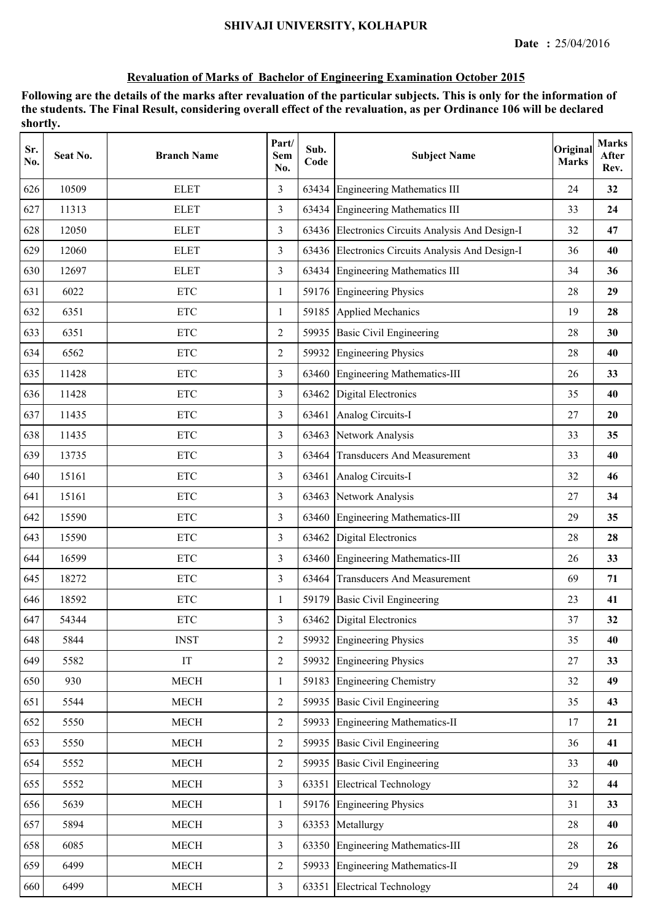| Sr.<br>No. | Seat No. | <b>Branch Name</b>        | Part/<br>Sem<br>No. | Sub.<br>Code | <b>Subject Name</b>                              | Original<br><b>Marks</b> | <b>Marks</b><br>After<br>Rev. |
|------------|----------|---------------------------|---------------------|--------------|--------------------------------------------------|--------------------------|-------------------------------|
| 626        | 10509    | <b>ELET</b>               | 3                   | 63434        | <b>Engineering Mathematics III</b>               | 24                       | 32                            |
| 627        | 11313    | <b>ELET</b>               | $\overline{3}$      |              | 63434 Engineering Mathematics III                | 33                       | 24                            |
| 628        | 12050    | <b>ELET</b>               | 3                   |              | 63436 Electronics Circuits Analysis And Design-I | 32                       | 47                            |
| 629        | 12060    | <b>ELET</b>               | 3                   |              | 63436 Electronics Circuits Analysis And Design-I | 36                       | 40                            |
| 630        | 12697    | <b>ELET</b>               | $\overline{3}$      |              | 63434 Engineering Mathematics III                | 34                       | 36                            |
| 631        | 6022     | <b>ETC</b>                | $\mathbf{1}$        | 59176        | <b>Engineering Physics</b>                       | 28                       | 29                            |
| 632        | 6351     | <b>ETC</b>                | 1                   | 59185        | Applied Mechanics                                | 19                       | 28                            |
| 633        | 6351     | <b>ETC</b>                | 2                   | 59935        | <b>Basic Civil Engineering</b>                   | 28                       | 30                            |
| 634        | 6562     | <b>ETC</b>                | $\overline{2}$      | 59932        | Engineering Physics                              | 28                       | 40                            |
| 635        | 11428    | <b>ETC</b>                | $\overline{3}$      |              | 63460 Engineering Mathematics-III                | 26                       | 33                            |
| 636        | 11428    | <b>ETC</b>                | 3                   |              | 63462 Digital Electronics                        | 35                       | 40                            |
| 637        | 11435    | <b>ETC</b>                | 3                   | 63461        | Analog Circuits-I                                | 27                       | 20                            |
| 638        | 11435    | $\ensuremath{\text{ETC}}$ | 3                   | 63463        | Network Analysis                                 | 33                       | 35                            |
| 639        | 13735    | <b>ETC</b>                | 3                   | 63464        | <b>Transducers And Measurement</b>               | 33                       | 40                            |
| 640        | 15161    | <b>ETC</b>                | 3                   | 63461        | Analog Circuits-I                                | 32                       | 46                            |
| 641        | 15161    | <b>ETC</b>                | $\overline{3}$      | 63463        | Network Analysis                                 | 27                       | 34                            |
| 642        | 15590    | <b>ETC</b>                | $\overline{3}$      | 63460        | Engineering Mathematics-III                      | 29                       | 35                            |
| 643        | 15590    | <b>ETC</b>                | $\overline{3}$      | 63462        | Digital Electronics                              | 28                       | 28                            |
| 644        | 16599    | <b>ETC</b>                | 3                   |              | 63460 Engineering Mathematics-III                | 26                       | 33                            |
| 645        | 18272    | <b>ETC</b>                | 3                   |              | 63464 Transducers And Measurement                | 69                       | 71                            |
| 646        | 18592    | <b>ETC</b>                | 1                   | 59179        | <b>Basic Civil Engineering</b>                   | 23                       | 41                            |
| 647        | 54344    | <b>ETC</b>                | 3                   |              | 63462 Digital Electronics                        | 37                       | 32                            |
| 648        | 5844     | <b>INST</b>               | 2                   | 59932        | <b>Engineering Physics</b>                       | 35                       | 40                            |
| 649        | 5582     | $\operatorname{IT}$       | $\overline{2}$      |              | 59932 Engineering Physics                        | 27                       | 33                            |
| 650        | 930      | <b>MECH</b>               | $\mathbf{1}$        | 59183        | <b>Engineering Chemistry</b>                     | 32                       | 49                            |
| 651        | 5544     | MECH                      | $\overline{2}$      |              | 59935 Basic Civil Engineering                    | 35                       | 43                            |
| 652        | 5550     | <b>MECH</b>               | $\overline{2}$      |              | 59933 Engineering Mathematics-II                 | 17                       | 21                            |
| 653        | 5550     | <b>MECH</b>               | $\overline{2}$      |              | 59935 Basic Civil Engineering                    | 36                       | 41                            |
| 654        | 5552     | <b>MECH</b>               | $\overline{2}$      |              | 59935 Basic Civil Engineering                    | 33                       | 40                            |
| 655        | 5552     | <b>MECH</b>               | $\overline{3}$      | 63351        | <b>Electrical Technology</b>                     | 32                       | 44                            |
| 656        | 5639     | <b>MECH</b>               | 1                   |              | 59176 Engineering Physics                        | 31                       | 33                            |
| 657        | 5894     | <b>MECH</b>               | $\overline{3}$      | 63353        | Metallurgy                                       | 28                       | 40                            |
| 658        | 6085     | $\operatorname{MECH}$     | $\overline{3}$      |              | 63350 Engineering Mathematics-III                | 28                       | 26                            |
| 659        | 6499     | $\operatorname{MECH}$     | $\sqrt{2}$          |              | 59933 Engineering Mathematics-II                 | 29                       | 28                            |
| 660        | 6499     | $\operatorname{MECH}$     | $\overline{3}$      |              | 63351 Electrical Technology                      | 24                       | 40                            |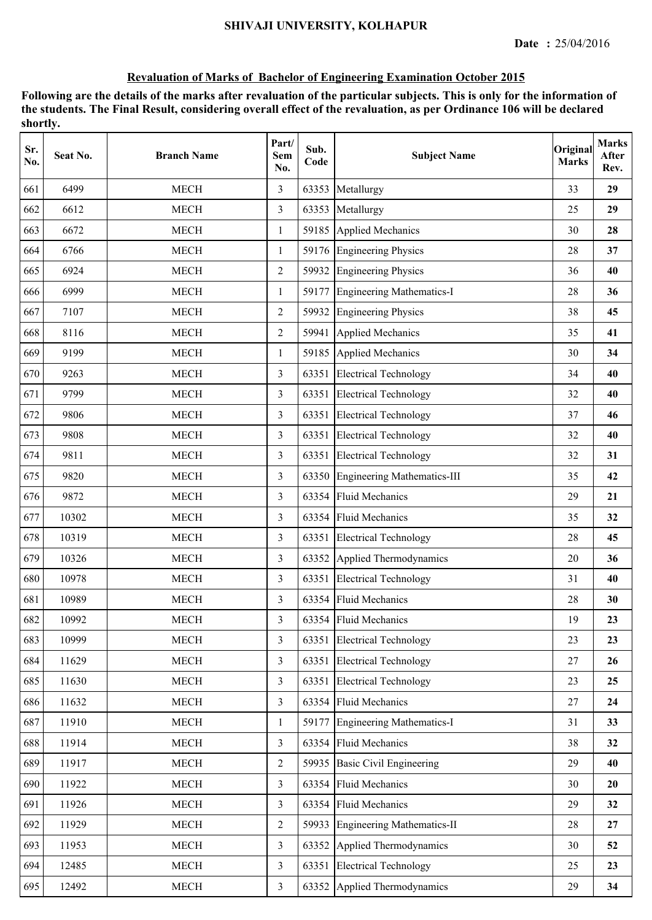| Sr.<br>No. | Seat No. | <b>Branch Name</b>    | Part/<br><b>Sem</b><br>No. | Sub.<br>Code | <b>Subject Name</b>               | Original<br><b>Marks</b> | <b>Marks</b><br>After<br>Rev. |
|------------|----------|-----------------------|----------------------------|--------------|-----------------------------------|--------------------------|-------------------------------|
| 661        | 6499     | <b>MECH</b>           | 3                          | 63353        | Metallurgy                        | 33                       | 29                            |
| 662        | 6612     | <b>MECH</b>           | $\overline{3}$             | 63353        | Metallurgy                        | 25                       | 29                            |
| 663        | 6672     | <b>MECH</b>           | $\mathbf{1}$               | 59185        | Applied Mechanics                 | 30                       | 28                            |
| 664        | 6766     | <b>MECH</b>           | $\mathbf{1}$               |              | 59176 Engineering Physics         | 28                       | 37                            |
| 665        | 6924     | <b>MECH</b>           | $\overline{2}$             | 59932        | <b>Engineering Physics</b>        | 36                       | 40                            |
| 666        | 6999     | <b>MECH</b>           | $\mathbf{1}$               | 59177        | <b>Engineering Mathematics-I</b>  | 28                       | 36                            |
| 667        | 7107     | <b>MECH</b>           | $\overline{2}$             | 59932        | <b>Engineering Physics</b>        | 38                       | 45                            |
| 668        | 8116     | <b>MECH</b>           | $\overline{2}$             | 59941        | <b>Applied Mechanics</b>          | 35                       | 41                            |
| 669        | 9199     | <b>MECH</b>           | 1                          | 59185        | Applied Mechanics                 | 30                       | 34                            |
| 670        | 9263     | <b>MECH</b>           | $\overline{3}$             | 63351        | <b>Electrical Technology</b>      | 34                       | 40                            |
| 671        | 9799     | MECH                  | $\overline{3}$             |              | 63351 Electrical Technology       | 32                       | 40                            |
| 672        | 9806     | <b>MECH</b>           | 3                          |              | 63351 Electrical Technology       | 37                       | 46                            |
| 673        | 9808     | <b>MECH</b>           | 3                          |              | 63351 Electrical Technology       | 32                       | 40                            |
| 674        | 9811     | <b>MECH</b>           | 3                          | 63351        | <b>Electrical Technology</b>      | 32                       | 31                            |
| 675        | 9820     | <b>MECH</b>           | $\overline{3}$             | 63350        | Engineering Mathematics-III       | 35                       | 42                            |
| 676        | 9872     | <b>MECH</b>           | 3                          | 63354        | <b>Fluid Mechanics</b>            | 29                       | 21                            |
| 677        | 10302    | <b>MECH</b>           | 3                          | 63354        | <b>Fluid Mechanics</b>            | 35                       | 32                            |
| 678        | 10319    | <b>MECH</b>           | $\overline{3}$             | 63351        | <b>Electrical Technology</b>      | 28                       | 45                            |
| 679        | 10326    | <b>MECH</b>           | $\overline{3}$             | 63352        | Applied Thermodynamics            | 20                       | 36                            |
| 680        | 10978    | <b>MECH</b>           | 3                          |              | 63351 Electrical Technology       | 31                       | 40                            |
| 681        | 10989    | <b>MECH</b>           | 3                          |              | 63354 Fluid Mechanics             | 28                       | 30                            |
| 682        | 10992    | <b>MECH</b>           | 3                          |              | 63354 Fluid Mechanics             | 19                       | 23                            |
| 683        | 10999    | <b>MECH</b>           | $\overline{3}$             | 63351        | <b>Electrical Technology</b>      | 23                       | 23                            |
| 684        | 11629    | <b>MECH</b>           | $\overline{3}$             | 63351        | <b>Electrical Technology</b>      | 27                       | 26                            |
| 685        | 11630    | <b>MECH</b>           | $\overline{3}$             | 63351        | <b>Electrical Technology</b>      | 23                       | 25                            |
| 686        | 11632    | MECH                  | $\overline{3}$             |              | 63354 Fluid Mechanics             | 27                       | 24                            |
| 687        | 11910    | <b>MECH</b>           | $\mathbf{1}$               | 59177        | Engineering Mathematics-I         | 31                       | 33                            |
| 688        | 11914    | MECH                  | $\overline{3}$             |              | 63354 Fluid Mechanics             | 38                       | 32                            |
| 689        | 11917    | <b>MECH</b>           | $\overline{2}$             | 59935        | <b>Basic Civil Engineering</b>    | 29                       | 40                            |
| 690        | 11922    | <b>MECH</b>           | $\overline{3}$             | 63354        | <b>Fluid Mechanics</b>            | 30                       | 20                            |
| 691        | 11926    | <b>MECH</b>           | $\overline{3}$             | 63354        | <b>Fluid Mechanics</b>            | 29                       | 32                            |
| 692        | 11929    | <b>MECH</b>           | $\overline{2}$             | 59933        | <b>Engineering Mathematics-II</b> | 28                       | 27                            |
| 693        | 11953    | <b>MECH</b>           | $\overline{3}$             | 63352        | Applied Thermodynamics            | 30                       | 52                            |
| 694        | 12485    | MECH                  | $\overline{3}$             | 63351        | <b>Electrical Technology</b>      | 25                       | 23                            |
| 695        | 12492    | $\operatorname{MECH}$ | $\overline{3}$             |              | 63352 Applied Thermodynamics      | 29                       | 34                            |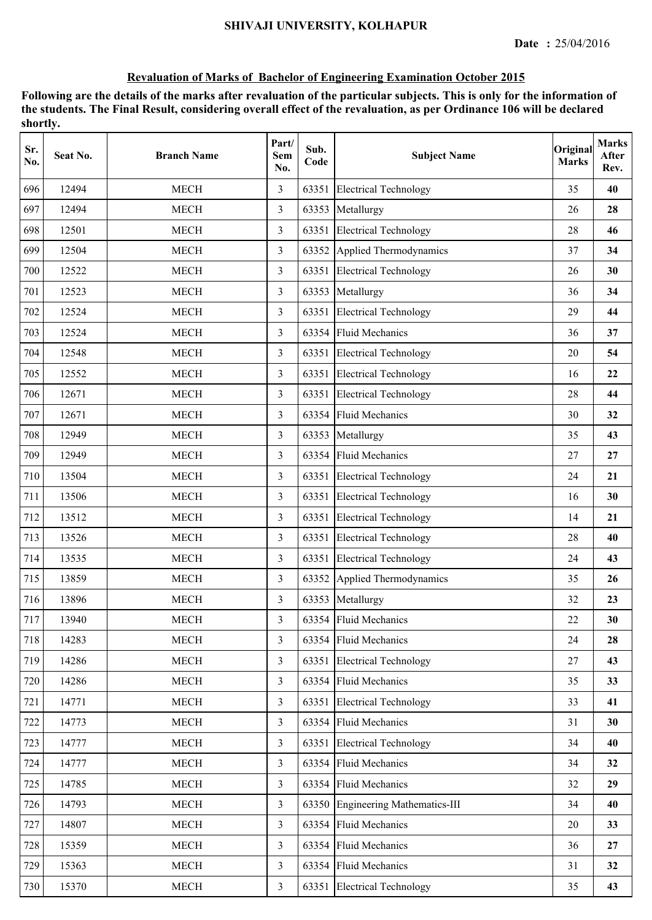| Sr.<br>No. | Seat No. | <b>Branch Name</b> | Part/<br>Sem<br>No. | Sub.<br>Code | <b>Subject Name</b>               | Original<br><b>Marks</b> | <b>Marks</b><br>After<br>Rev. |
|------------|----------|--------------------|---------------------|--------------|-----------------------------------|--------------------------|-------------------------------|
| 696        | 12494    | <b>MECH</b>        | 3                   | 63351        | <b>Electrical Technology</b>      | 35                       | 40                            |
| 697        | 12494    | <b>MECH</b>        | $\overline{3}$      | 63353        | Metallurgy                        | 26                       | 28                            |
| 698        | 12501    | <b>MECH</b>        | $\overline{3}$      | 63351        | <b>Electrical Technology</b>      | 28                       | 46                            |
| 699        | 12504    | <b>MECH</b>        | 3                   |              | 63352 Applied Thermodynamics      | 37                       | 34                            |
| 700        | 12522    | <b>MECH</b>        | 3                   |              | 63351 Electrical Technology       | 26                       | 30                            |
| 701        | 12523    | <b>MECH</b>        | $\mathfrak{Z}$      | 63353        | Metallurgy                        | 36                       | 34                            |
| 702        | 12524    | <b>MECH</b>        | $\overline{3}$      | 63351        | <b>Electrical Technology</b>      | 29                       | 44                            |
| 703        | 12524    | <b>MECH</b>        | 3                   | 63354        | <b>Fluid Mechanics</b>            | 36                       | 37                            |
| 704        | 12548    | <b>MECH</b>        | 3                   | 63351        | <b>Electrical Technology</b>      | 20                       | 54                            |
| 705        | 12552    | <b>MECH</b>        | $\overline{3}$      | 63351        | <b>Electrical Technology</b>      | 16                       | 22                            |
| 706        | 12671    | <b>MECH</b>        | $\overline{3}$      |              | 63351 Electrical Technology       | 28                       | 44                            |
| 707        | 12671    | <b>MECH</b>        | 3                   |              | 63354 Fluid Mechanics             | 30                       | 32                            |
| 708        | 12949    | <b>MECH</b>        | 3                   |              | 63353 Metallurgy                  | 35                       | 43                            |
| 709        | 12949    | <b>MECH</b>        | 3                   |              | 63354 Fluid Mechanics             | 27                       | 27                            |
| 710        | 13504    | <b>MECH</b>        | 3                   | 63351        | <b>Electrical Technology</b>      | 24                       | 21                            |
| 711        | 13506    | <b>MECH</b>        | 3                   | 63351        | <b>Electrical Technology</b>      | 16                       | 30                            |
| 712        | 13512    | <b>MECH</b>        | 3                   | 63351        | <b>Electrical Technology</b>      | 14                       | 21                            |
| 713        | 13526    | <b>MECH</b>        | $\overline{3}$      | 63351        | <b>Electrical Technology</b>      | 28                       | 40                            |
| 714        | 13535    | <b>MECH</b>        | $\overline{3}$      |              | 63351 Electrical Technology       | 24                       | 43                            |
| 715        | 13859    | <b>MECH</b>        | 3                   |              | 63352 Applied Thermodynamics      | 35                       | 26                            |
| 716        | 13896    | <b>MECH</b>        | 3                   |              | 63353 Metallurgy                  | 32                       | 23                            |
| 717        | 13940    | <b>MECH</b>        | 3                   |              | 63354 Fluid Mechanics             | 22                       | 30                            |
| 718        | 14283    | <b>MECH</b>        | $\mathfrak{Z}$      |              | 63354 Fluid Mechanics             | 24                       | 28                            |
| 719        | 14286    | <b>MECH</b>        | $\overline{3}$      |              | 63351 Electrical Technology       | 27                       | 43                            |
| 720        | 14286    | <b>MECH</b>        | $\mathfrak{Z}$      |              | 63354 Fluid Mechanics             | 35                       | 33                            |
| 721        | 14771    | <b>MECH</b>        | $\overline{3}$      | 63351        | <b>Electrical Technology</b>      | 33                       | 41                            |
| 722        | 14773    | <b>MECH</b>        | $\overline{3}$      |              | 63354 Fluid Mechanics             | 31                       | 30                            |
| 723        | 14777    | <b>MECH</b>        | $\overline{3}$      |              | 63351 Electrical Technology       | 34                       | 40                            |
| 724        | 14777    | <b>MECH</b>        | $\overline{3}$      |              | 63354 Fluid Mechanics             | 34                       | 32                            |
| 725        | 14785    | <b>MECH</b>        | $\overline{3}$      |              | 63354 Fluid Mechanics             | 32                       | 29                            |
| 726        | 14793    | <b>MECH</b>        | $\overline{3}$      |              | 63350 Engineering Mathematics-III | 34                       | 40                            |
| 727        | 14807    | <b>MECH</b>        | $\overline{3}$      |              | 63354 Fluid Mechanics             | 20                       | 33                            |
| 728        | 15359    | <b>MECH</b>        | 3                   |              | 63354 Fluid Mechanics             | 36                       | 27                            |
| 729        | 15363    | <b>MECH</b>        | $\overline{3}$      |              | 63354 Fluid Mechanics             | 31                       | 32                            |
| 730        | 15370    | MECH               | $\mathfrak{Z}$      |              | 63351 Electrical Technology       | 35                       | 43                            |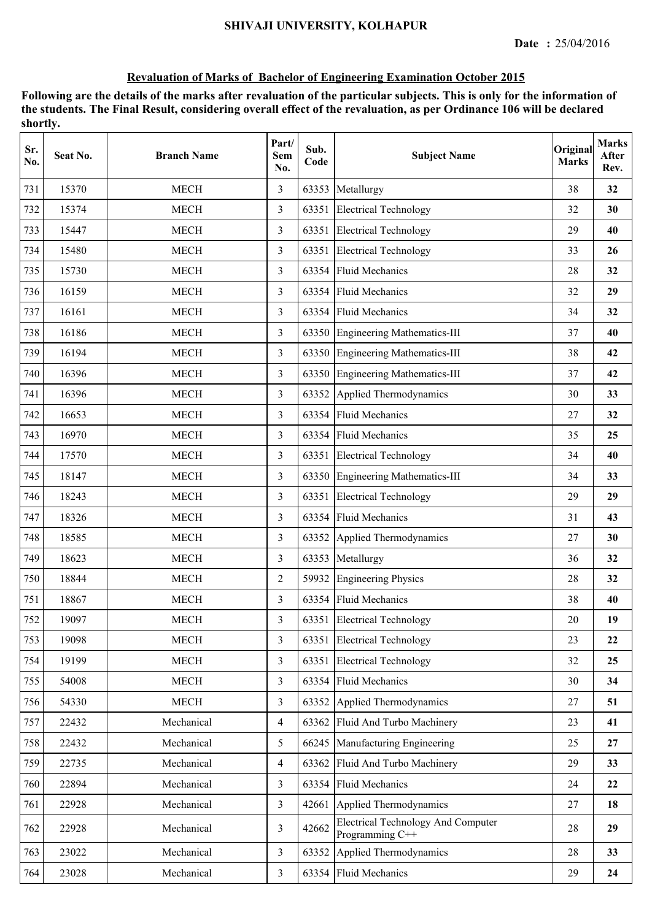| Sr.<br>No. | Seat No. | <b>Branch Name</b> | Part/<br><b>Sem</b><br>No. | Sub.<br>Code | <b>Subject Name</b>                                          | Original<br><b>Marks</b> | <b>Marks</b><br>After<br>Rev. |
|------------|----------|--------------------|----------------------------|--------------|--------------------------------------------------------------|--------------------------|-------------------------------|
| 731        | 15370    | <b>MECH</b>        | 3                          | 63353        | Metallurgy                                                   | 38                       | 32                            |
| 732        | 15374    | <b>MECH</b>        | 3                          | 63351        | <b>Electrical Technology</b>                                 | 32                       | 30                            |
| 733        | 15447    | <b>MECH</b>        | 3                          | 63351        | <b>Electrical Technology</b>                                 | 29                       | 40                            |
| 734        | 15480    | <b>MECH</b>        | 3                          |              | 63351 Electrical Technology                                  | 33                       | 26                            |
| 735        | 15730    | <b>MECH</b>        | 3                          |              | 63354 Fluid Mechanics                                        | 28                       | 32                            |
| 736        | 16159    | <b>MECH</b>        | $\overline{3}$             | 63354        | <b>Fluid Mechanics</b>                                       | 32                       | 29                            |
| 737        | 16161    | <b>MECH</b>        | 3                          | 63354        | <b>Fluid Mechanics</b>                                       | 34                       | 32                            |
| 738        | 16186    | <b>MECH</b>        | 3                          | 63350        | Engineering Mathematics-III                                  | 37                       | 40                            |
| 739        | 16194    | <b>MECH</b>        | 3                          |              | 63350 Engineering Mathematics-III                            | 38                       | 42                            |
| 740        | 16396    | <b>MECH</b>        | 3                          |              | 63350 Engineering Mathematics-III                            | 37                       | 42                            |
| 741        | 16396    | <b>MECH</b>        | 3                          |              | 63352 Applied Thermodynamics                                 | 30                       | 33                            |
| 742        | 16653    | <b>MECH</b>        | 3                          |              | 63354 Fluid Mechanics                                        | 27                       | 32                            |
| 743        | 16970    | <b>MECH</b>        | 3                          |              | 63354 Fluid Mechanics                                        | 35                       | 25                            |
| 744        | 17570    | <b>MECH</b>        | 3                          |              | 63351 Electrical Technology                                  | 34                       | 40                            |
| 745        | 18147    | <b>MECH</b>        | 3                          | 63350        | Engineering Mathematics-III                                  | 34                       | 33                            |
| 746        | 18243    | <b>MECH</b>        | 3                          | 63351        | <b>Electrical Technology</b>                                 | 29                       | 29                            |
| 747        | 18326    | <b>MECH</b>        | 3                          | 63354        | <b>Fluid Mechanics</b>                                       | 31                       | 43                            |
| 748        | 18585    | <b>MECH</b>        | 3                          |              | 63352 Applied Thermodynamics                                 | 27                       | 30                            |
| 749        | 18623    | <b>MECH</b>        | 3                          | 63353        | Metallurgy                                                   | 36                       | 32                            |
| 750        | 18844    | <b>MECH</b>        | $\overline{2}$             | 59932        | <b>Engineering Physics</b>                                   | 28                       | 32                            |
| 751        | 18867    | <b>MECH</b>        | 3                          |              | 63354 Fluid Mechanics                                        | 38                       | 40                            |
| 752        | 19097    | <b>MECH</b>        | 3                          |              | 63351 Electrical Technology                                  | 20                       | 19                            |
| 753        | 19098    | <b>MECH</b>        | 3                          | 63351        | <b>Electrical Technology</b>                                 | 23                       | 22                            |
| 754        | 19199    | <b>MECH</b>        | $\overline{3}$             | 63351        | <b>Electrical Technology</b>                                 | 32                       | 25                            |
| 755        | 54008    | <b>MECH</b>        | $\overline{3}$             | 63354        | <b>Fluid Mechanics</b>                                       | 30                       | 34                            |
| 756        | 54330    | MECH               | $\overline{3}$             |              | 63352 Applied Thermodynamics                                 | 27                       | 51                            |
| 757        | 22432    | Mechanical         | $\overline{4}$             |              | 63362 Fluid And Turbo Machinery                              | 23                       | 41                            |
| 758        | 22432    | Mechanical         | 5                          |              | 66245 Manufacturing Engineering                              | 25                       | 27                            |
| 759        | 22735    | Mechanical         | $\overline{4}$             | 63362        | Fluid And Turbo Machinery                                    | 29                       | 33                            |
| 760        | 22894    | Mechanical         | $\overline{3}$             | 63354        | <b>Fluid Mechanics</b>                                       | 24                       | 22                            |
| 761        | 22928    | Mechanical         | $\overline{3}$             | 42661        | Applied Thermodynamics                                       | 27                       | 18                            |
| 762        | 22928    | Mechanical         | $\overline{3}$             | 42662        | <b>Electrical Technology And Computer</b><br>Programming C++ | 28                       | 29                            |
| 763        | 23022    | Mechanical         | $\overline{3}$             | 63352        | Applied Thermodynamics                                       | 28                       | 33                            |
| 764        | 23028    | Mechanical         | $\overline{3}$             |              | 63354 Fluid Mechanics                                        | 29                       | 24                            |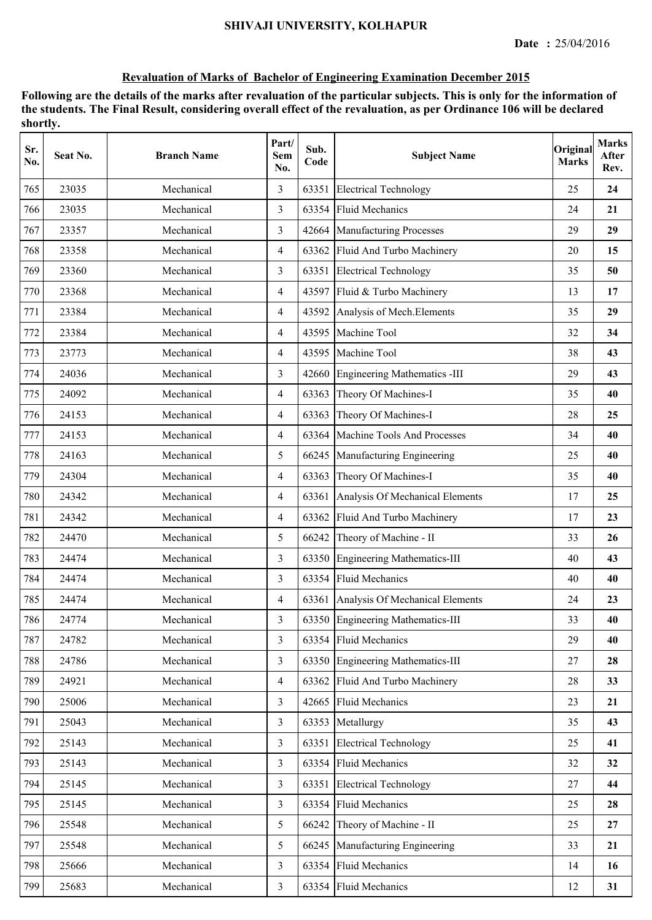| Sr.<br>No. | Seat No. | <b>Branch Name</b> | Part/<br>Sem<br>No. | Sub.<br>Code | <b>Subject Name</b>                   | Original<br><b>Marks</b> | <b>Marks</b><br>After<br>Rev. |
|------------|----------|--------------------|---------------------|--------------|---------------------------------------|--------------------------|-------------------------------|
| 765        | 23035    | Mechanical         | 3                   | 63351        | <b>Electrical Technology</b>          | 25                       | 24                            |
| 766        | 23035    | Mechanical         | 3                   | 63354        | <b>Fluid Mechanics</b>                | 24                       | 21                            |
| 767        | 23357    | Mechanical         | 3                   | 42664        | Manufacturing Processes               | 29                       | 29                            |
| 768        | 23358    | Mechanical         | $\overline{4}$      |              | 63362 Fluid And Turbo Machinery       | 20                       | 15                            |
| 769        | 23360    | Mechanical         | 3                   |              | 63351 Electrical Technology           | 35                       | 50                            |
| 770        | 23368    | Mechanical         | $\overline{4}$      |              | 43597 Fluid & Turbo Machinery         | 13                       | 17                            |
| 771        | 23384    | Mechanical         | $\overline{4}$      | 43592        | Analysis of Mech. Elements            | 35                       | 29                            |
| 772        | 23384    | Mechanical         | $\overline{4}$      | 43595        | Machine Tool                          | 32                       | 34                            |
| 773        | 23773    | Mechanical         | 4                   | 43595        | Machine Tool                          | 38                       | 43                            |
| 774        | 24036    | Mechanical         | 3                   | 42660        | <b>Engineering Mathematics -III</b>   | 29                       | 43                            |
| 775        | 24092    | Mechanical         | $\overline{4}$      | 63363        | Theory Of Machines-I                  | 35                       | 40                            |
| 776        | 24153    | Mechanical         | $\overline{4}$      | 63363        | Theory Of Machines-I                  | 28                       | 25                            |
| 777        | 24153    | Mechanical         | $\overline{4}$      | 63364        | Machine Tools And Processes           | 34                       | 40                            |
| 778        | 24163    | Mechanical         | 5                   | 66245        | Manufacturing Engineering             | 25                       | 40                            |
| 779        | 24304    | Mechanical         | $\overline{4}$      | 63363        | Theory Of Machines-I                  | 35                       | 40                            |
| 780        | 24342    | Mechanical         | $\overline{4}$      | 63361        | Analysis Of Mechanical Elements       | 17                       | 25                            |
| 781        | 24342    | Mechanical         | 4                   | 63362        | Fluid And Turbo Machinery             | 17                       | 23                            |
| 782        | 24470    | Mechanical         | 5                   | 66242        | Theory of Machine - II                | 33                       | 26                            |
| 783        | 24474    | Mechanical         | 3                   | 63350        | Engineering Mathematics-III           | 40                       | 43                            |
| 784        | 24474    | Mechanical         | 3                   | 63354        | <b>Fluid Mechanics</b>                | 40                       | 40                            |
| 785        | 24474    | Mechanical         | $\overline{4}$      |              | 63361 Analysis Of Mechanical Elements | 24                       | 23                            |
| 786        | 24774    | Mechanical         | 3                   |              | 63350 Engineering Mathematics-III     | 33                       | 40                            |
| 787        | 24782    | Mechanical         | $\overline{3}$      | 63354        | <b>Fluid Mechanics</b>                | 29                       | 40                            |
| 788        | 24786    | Mechanical         | 3                   |              | 63350 Engineering Mathematics-III     | 27                       | 28                            |
| 789        | 24921    | Mechanical         | $\overline{4}$      | 63362        | Fluid And Turbo Machinery             | 28                       | 33                            |
| 790        | 25006    | Mechanical         | $\overline{3}$      | 42665        | <b>Fluid Mechanics</b>                | 23                       | 21                            |
| 791        | 25043    | Mechanical         | $\overline{3}$      | 63353        | Metallurgy                            | 35                       | 43                            |
| 792        | 25143    | Mechanical         | $\overline{3}$      |              | 63351 Electrical Technology           | 25                       | 41                            |
| 793        | 25143    | Mechanical         | 3                   | 63354        | <b>Fluid Mechanics</b>                | 32                       | 32                            |
| 794        | 25145    | Mechanical         | $\overline{3}$      | 63351        | <b>Electrical Technology</b>          | 27                       | 44                            |
| 795        | 25145    | Mechanical         | $\overline{3}$      | 63354        | <b>Fluid Mechanics</b>                | 25                       | 28                            |
| 796        | 25548    | Mechanical         | 5                   | 66242        | Theory of Machine - II                | 25                       | 27                            |
| 797        | 25548    | Mechanical         | 5                   | 66245        | Manufacturing Engineering             | 33                       | 21                            |
| 798        | 25666    | Mechanical         | $\overline{3}$      | 63354        | <b>Fluid Mechanics</b>                | 14                       | 16                            |
| 799        | 25683    | Mechanical         | $\overline{3}$      |              | 63354 Fluid Mechanics                 | 12                       | 31                            |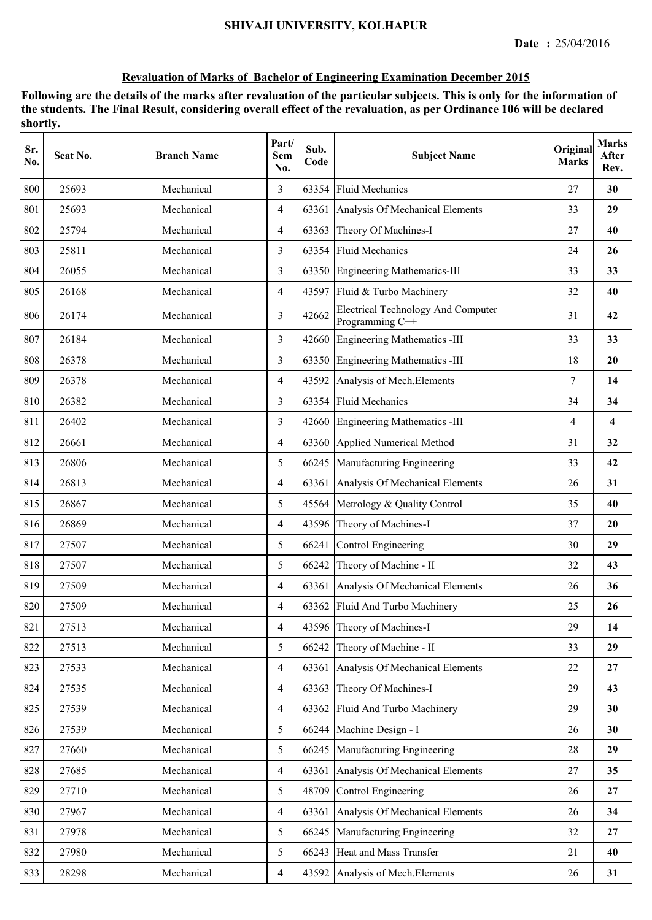| Sr.<br>No. | Seat No. | <b>Branch Name</b> | Part/<br>Sem<br>No. | Sub.<br>Code | <b>Subject Name</b>                                          | Original<br><b>Marks</b> | <b>Marks</b><br>After<br>Rev. |
|------------|----------|--------------------|---------------------|--------------|--------------------------------------------------------------|--------------------------|-------------------------------|
| 800        | 25693    | Mechanical         | 3                   | 63354        | <b>Fluid Mechanics</b>                                       | 27                       | 30                            |
| 801        | 25693    | Mechanical         | 4                   | 63361        | Analysis Of Mechanical Elements                              | 33                       | 29                            |
| 802        | 25794    | Mechanical         | $\overline{4}$      | 63363        | Theory Of Machines-I                                         | 27                       | 40                            |
| 803        | 25811    | Mechanical         | 3                   | 63354        | <b>Fluid Mechanics</b>                                       | 24                       | 26                            |
| 804        | 26055    | Mechanical         | 3                   |              | 63350 Engineering Mathematics-III                            | 33                       | 33                            |
| 805        | 26168    | Mechanical         | $\overline{4}$      |              | 43597 Fluid & Turbo Machinery                                | 32                       | 40                            |
| 806        | 26174    | Mechanical         | 3                   | 42662        | <b>Electrical Technology And Computer</b><br>Programming C++ | 31                       | 42                            |
| 807        | 26184    | Mechanical         | 3                   | 42660        | Engineering Mathematics -III                                 | 33                       | 33                            |
| 808        | 26378    | Mechanical         | 3                   | 63350        | Engineering Mathematics -III                                 | 18                       | 20                            |
| 809        | 26378    | Mechanical         | $\overline{4}$      | 43592        | Analysis of Mech. Elements                                   | 7                        | 14                            |
| 810        | 26382    | Mechanical         | 3                   | 63354        | <b>Fluid Mechanics</b>                                       | 34                       | 34                            |
| 811        | 26402    | Mechanical         | 3                   |              | 42660 Engineering Mathematics -III                           | 4                        | $\overline{\mathbf{4}}$       |
| 812        | 26661    | Mechanical         | $\overline{4}$      |              | 63360 Applied Numerical Method                               | 31                       | 32                            |
| 813        | 26806    | Mechanical         | 5                   |              | 66245 Manufacturing Engineering                              | 33                       | 42                            |
| 814        | 26813    | Mechanical         | $\overline{4}$      |              | 63361 Analysis Of Mechanical Elements                        | 26                       | 31                            |
| 815        | 26867    | Mechanical         | 5                   | 45564        | Metrology & Quality Control                                  | 35                       | 40                            |
| 816        | 26869    | Mechanical         | 4                   |              | 43596 Theory of Machines-I                                   | 37                       | 20                            |
| 817        | 27507    | Mechanical         | 5                   | 66241        | Control Engineering                                          | 30                       | 29                            |
| 818        | 27507    | Mechanical         | 5                   | 66242        | Theory of Machine - II                                       | 32                       | 43                            |
| 819        | 27509    | Mechanical         | $\overline{4}$      |              | 63361 Analysis Of Mechanical Elements                        | 26                       | 36                            |
| 820        | 27509    | Mechanical         | $\overline{4}$      |              | 63362 Fluid And Turbo Machinery                              | 25                       | 26                            |
| 821        | 27513    | Mechanical         | $\overline{4}$      |              | 43596 Theory of Machines-I                                   | 29                       | 14                            |
| 822        | 27513    | Mechanical         | 5                   | 66242        | Theory of Machine - II                                       | 33                       | 29                            |
| 823        | 27533    | Mechanical         | $\overline{4}$      | 63361        | Analysis Of Mechanical Elements                              | 22                       | 27                            |
| 824        | 27535    | Mechanical         | $\overline{4}$      | 63363        | Theory Of Machines-I                                         | 29                       | 43                            |
| 825        | 27539    | Mechanical         | $\overline{4}$      | 63362        | Fluid And Turbo Machinery                                    | 29                       | 30                            |
| 826        | 27539    | Mechanical         | 5                   | 66244        | Machine Design - I                                           | 26                       | 30                            |
| 827        | 27660    | Mechanical         | 5                   |              | 66245 Manufacturing Engineering                              | 28                       | 29                            |
| 828        | 27685    | Mechanical         | $\overline{4}$      |              | 63361 Analysis Of Mechanical Elements                        | 27                       | 35                            |
| 829        | 27710    | Mechanical         | 5                   | 48709        | Control Engineering                                          | 26                       | 27                            |
| 830        | 27967    | Mechanical         | $\overline{4}$      | 63361        | Analysis Of Mechanical Elements                              | 26                       | 34                            |
| 831        | 27978    | Mechanical         | 5                   | 66245        | Manufacturing Engineering                                    | 32                       | 27                            |
| 832        | 27980    | Mechanical         | 5                   | 66243        | Heat and Mass Transfer                                       | 21                       | 40                            |
| 833        | 28298    | Mechanical         | $\overline{4}$      | 43592        | Analysis of Mech. Elements                                   | 26                       | 31                            |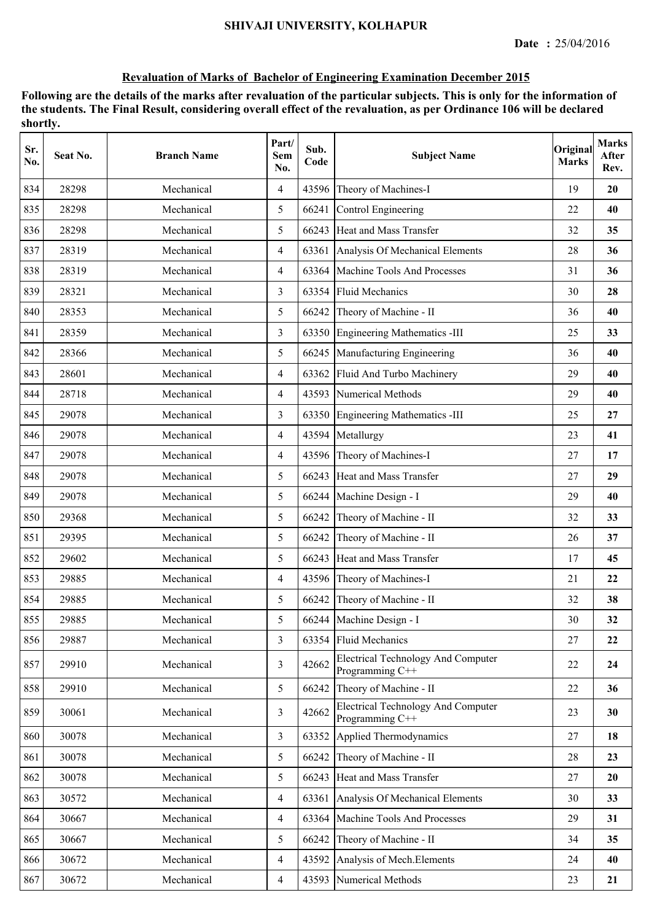| Sr.<br>No. | Seat No. | <b>Branch Name</b> | Part/<br><b>Sem</b><br>No. | Sub.<br>Code | <b>Subject Name</b>                                          | Original<br><b>Marks</b> | <b>Marks</b><br>After<br>Rev. |
|------------|----------|--------------------|----------------------------|--------------|--------------------------------------------------------------|--------------------------|-------------------------------|
| 834        | 28298    | Mechanical         | 4                          | 43596        | Theory of Machines-I                                         | 19                       | 20                            |
| 835        | 28298    | Mechanical         | 5                          | 66241        | Control Engineering                                          | 22                       | 40                            |
| 836        | 28298    | Mechanical         | 5                          | 66243        | Heat and Mass Transfer                                       | 32                       | 35                            |
| 837        | 28319    | Mechanical         | $\overline{4}$             | 63361        | Analysis Of Mechanical Elements                              | 28                       | 36                            |
| 838        | 28319    | Mechanical         | $\overline{4}$             | 63364        | Machine Tools And Processes                                  | 31                       | 36                            |
| 839        | 28321    | Mechanical         | 3                          | 63354        | <b>Fluid Mechanics</b>                                       | 30                       | 28                            |
| 840        | 28353    | Mechanical         | 5                          | 66242        | Theory of Machine - II                                       | 36                       | 40                            |
| 841        | 28359    | Mechanical         | 3                          | 63350        | <b>Engineering Mathematics -III</b>                          | 25                       | 33                            |
| 842        | 28366    | Mechanical         | 5                          | 66245        | Manufacturing Engineering                                    | 36                       | 40                            |
| 843        | 28601    | Mechanical         | $\overline{4}$             | 63362        | Fluid And Turbo Machinery                                    | 29                       | 40                            |
| 844        | 28718    | Mechanical         | $\overline{4}$             | 43593        | Numerical Methods                                            | 29                       | 40                            |
| 845        | 29078    | Mechanical         | 3                          | 63350        | <b>Engineering Mathematics -III</b>                          | 25                       | 27                            |
| 846        | 29078    | Mechanical         | $\overline{4}$             | 43594        | Metallurgy                                                   | 23                       | 41                            |
| 847        | 29078    | Mechanical         | $\overline{4}$             | 43596        | Theory of Machines-I                                         | 27                       | 17                            |
| 848        | 29078    | Mechanical         | 5                          | 66243        | Heat and Mass Transfer                                       | 27                       | 29                            |
| 849        | 29078    | Mechanical         | 5                          | 66244        | Machine Design - I                                           | 29                       | 40                            |
| 850        | 29368    | Mechanical         | 5                          | 66242        | Theory of Machine - II                                       | 32                       | 33                            |
| 851        | 29395    | Mechanical         | 5                          | 66242        | Theory of Machine - II                                       | 26                       | 37                            |
| 852        | 29602    | Mechanical         | 5                          | 66243        | Heat and Mass Transfer                                       | 17                       | 45                            |
| 853        | 29885    | Mechanical         | $\overline{4}$             |              | 43596 Theory of Machines-I                                   | 21                       | 22                            |
| 854        | 29885    | Mechanical         | 5                          |              | 66242 Theory of Machine - II                                 | 32                       | 38                            |
| 855        | 29885    | Mechanical         | 5                          |              | 66244 Machine Design - I                                     | 30                       | 32                            |
| 856        | 29887    | Mechanical         | 3                          |              | 63354 Fluid Mechanics                                        | 27                       | 22                            |
| 857        | 29910    | Mechanical         | $\overline{3}$             | 42662        | <b>Electrical Technology And Computer</b><br>Programming C++ | 22                       | 24                            |
| 858        | 29910    | Mechanical         | 5                          | 66242        | Theory of Machine - II                                       | 22                       | 36                            |
| 859        | 30061    | Mechanical         | 3                          | 42662        | <b>Electrical Technology And Computer</b><br>Programming C++ | 23                       | 30                            |
| 860        | 30078    | Mechanical         | $\overline{3}$             | 63352        | Applied Thermodynamics                                       | 27                       | 18                            |
| 861        | 30078    | Mechanical         | 5                          | 66242        | Theory of Machine - II                                       | 28                       | 23                            |
| 862        | 30078    | Mechanical         | 5                          | 66243        | Heat and Mass Transfer                                       | 27                       | <b>20</b>                     |
| 863        | 30572    | Mechanical         | $\overline{4}$             | 63361        | Analysis Of Mechanical Elements                              | 30                       | 33                            |
| 864        | 30667    | Mechanical         | $\overline{4}$             | 63364        | Machine Tools And Processes                                  | 29                       | 31                            |
| 865        | 30667    | Mechanical         | 5                          | 66242        | Theory of Machine - II                                       | 34                       | 35                            |
| 866        | 30672    | Mechanical         | $\overline{4}$             | 43592        | Analysis of Mech. Elements                                   | 24                       | 40                            |
| 867        | 30672    | Mechanical         | $\overline{4}$             | 43593        | Numerical Methods                                            | 23                       | 21                            |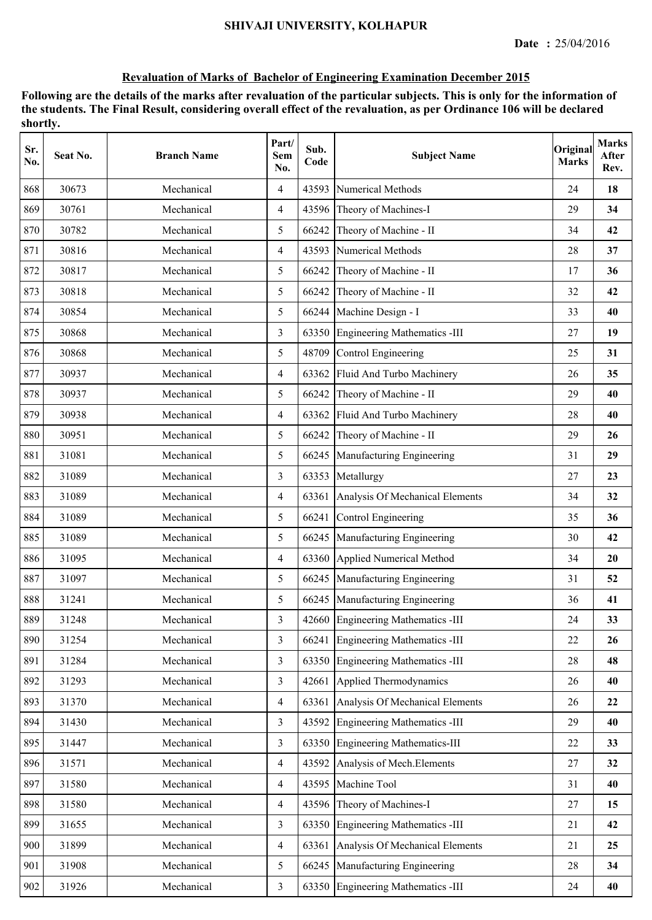| Sr.<br>No. | Seat No. | <b>Branch Name</b> | Part/<br>Sem<br>No. | Sub.<br>Code | <b>Subject Name</b>                 | Original<br><b>Marks</b> | <b>Marks</b><br>After<br>Rev. |
|------------|----------|--------------------|---------------------|--------------|-------------------------------------|--------------------------|-------------------------------|
| 868        | 30673    | Mechanical         | $\overline{4}$      | 43593        | <b>Numerical Methods</b>            | 24                       | 18                            |
| 869        | 30761    | Mechanical         | $\overline{4}$      | 43596        | Theory of Machines-I                | 29                       | 34                            |
| 870        | 30782    | Mechanical         | 5                   | 66242        | Theory of Machine - II              | 34                       | 42                            |
| 871        | 30816    | Mechanical         | $\overline{4}$      |              | 43593 Numerical Methods             | 28                       | 37                            |
| 872        | 30817    | Mechanical         | 5                   | 66242        | Theory of Machine - II              | 17                       | 36                            |
| 873        | 30818    | Mechanical         | 5                   | 66242        | Theory of Machine - II              | 32                       | 42                            |
| 874        | 30854    | Mechanical         | 5                   | 66244        | Machine Design - I                  | 33                       | 40                            |
| 875        | 30868    | Mechanical         | 3                   | 63350        | Engineering Mathematics -III        | 27                       | 19                            |
| 876        | 30868    | Mechanical         | 5                   | 48709        | Control Engineering                 | 25                       | 31                            |
| 877        | 30937    | Mechanical         | $\overline{4}$      | 63362        | Fluid And Turbo Machinery           | 26                       | 35                            |
| 878        | 30937    | Mechanical         | 5                   |              | 66242 Theory of Machine - II        | 29                       | 40                            |
| 879        | 30938    | Mechanical         | $\overline{4}$      |              | 63362 Fluid And Turbo Machinery     | 28                       | 40                            |
| 880        | 30951    | Mechanical         | 5                   | 66242        | Theory of Machine - II              | 29                       | 26                            |
| 881        | 31081    | Mechanical         | 5                   | 66245        | Manufacturing Engineering           | 31                       | 29                            |
| 882        | 31089    | Mechanical         | $\overline{3}$      | 63353        | Metallurgy                          | 27                       | 23                            |
| 883        | 31089    | Mechanical         | $\overline{4}$      | 63361        | Analysis Of Mechanical Elements     | 34                       | 32                            |
| 884        | 31089    | Mechanical         | 5                   | 66241        | Control Engineering                 | 35                       | 36                            |
| 885        | 31089    | Mechanical         | 5                   | 66245        | Manufacturing Engineering           | 30                       | 42                            |
| 886        | 31095    | Mechanical         | $\overline{4}$      |              | 63360 Applied Numerical Method      | 34                       | 20                            |
| 887        | 31097    | Mechanical         | 5                   |              | 66245 Manufacturing Engineering     | 31                       | 52                            |
| 888        | 31241    | Mechanical         | 5                   |              | 66245 Manufacturing Engineering     | 36                       | 41                            |
| 889        | 31248    | Mechanical         | 3                   |              | 42660 Engineering Mathematics -III  | 24                       | 33                            |
| 890        | 31254    | Mechanical         | $\overline{3}$      | 66241        | <b>Engineering Mathematics -III</b> | 22                       | 26                            |
| 891        | 31284    | Mechanical         | 3                   | 63350        | Engineering Mathematics -III        | 28                       | 48                            |
| 892        | 31293    | Mechanical         | $\overline{3}$      | 42661        | Applied Thermodynamics              | 26                       | 40                            |
| 893        | 31370    | Mechanical         | $\overline{4}$      | 63361        | Analysis Of Mechanical Elements     | 26                       | 22                            |
| 894        | 31430    | Mechanical         | $\overline{3}$      |              | 43592 Engineering Mathematics -III  | 29                       | 40                            |
| 895        | 31447    | Mechanical         | $\overline{3}$      |              | 63350 Engineering Mathematics-III   | 22                       | 33                            |
| 896        | 31571    | Mechanical         | $\overline{4}$      | 43592        | Analysis of Mech. Elements          | 27                       | 32                            |
| 897        | 31580    | Mechanical         | $\overline{4}$      | 43595        | Machine Tool                        | 31                       | 40                            |
| 898        | 31580    | Mechanical         | $\overline{4}$      |              | 43596 Theory of Machines-I          | 27                       | 15                            |
| 899        | 31655    | Mechanical         | $\overline{3}$      | 63350        | <b>Engineering Mathematics -III</b> | 21                       | 42                            |
| 900        | 31899    | Mechanical         | $\overline{4}$      | 63361        | Analysis Of Mechanical Elements     | 21                       | 25                            |
| 901        | 31908    | Mechanical         | 5                   | 66245        | Manufacturing Engineering           | 28                       | 34                            |
| 902        | 31926    | Mechanical         | $\overline{3}$      |              | 63350 Engineering Mathematics -III  | 24                       | 40                            |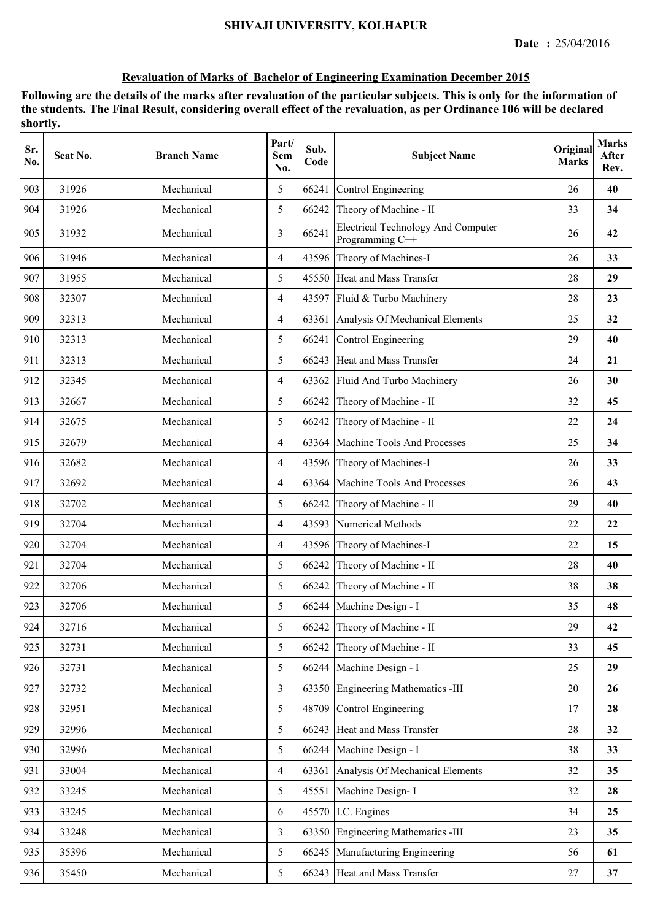| Sr.<br>No. | Seat No. | <b>Branch Name</b> | Part/<br>Sem<br>No. | Sub.<br>Code | <b>Subject Name</b>                                          | Original<br><b>Marks</b> | <b>Marks</b><br>After<br>Rev. |
|------------|----------|--------------------|---------------------|--------------|--------------------------------------------------------------|--------------------------|-------------------------------|
| 903        | 31926    | Mechanical         | 5                   | 66241        | Control Engineering                                          | 26                       | 40                            |
| 904        | 31926    | Mechanical         | 5                   | 66242        | Theory of Machine - II                                       | 33                       | 34                            |
| 905        | 31932    | Mechanical         | 3                   | 66241        | <b>Electrical Technology And Computer</b><br>Programming C++ | 26                       | 42                            |
| 906        | 31946    | Mechanical         | $\overline{4}$      |              | 43596 Theory of Machines-I                                   | 26                       | 33                            |
| 907        | 31955    | Mechanical         | 5                   |              | 45550 Heat and Mass Transfer                                 | 28                       | 29                            |
| 908        | 32307    | Mechanical         | 4                   |              | 43597 Fluid & Turbo Machinery                                | 28                       | 23                            |
| 909        | 32313    | Mechanical         | 4                   | 63361        | Analysis Of Mechanical Elements                              | 25                       | 32                            |
| 910        | 32313    | Mechanical         | 5                   | 66241        | Control Engineering                                          | 29                       | 40                            |
| 911        | 32313    | Mechanical         | 5                   | 66243        | Heat and Mass Transfer                                       | 24                       | 21                            |
| 912        | 32345    | Mechanical         | 4                   | 63362        | Fluid And Turbo Machinery                                    | 26                       | 30                            |
| 913        | 32667    | Mechanical         | 5                   | 66242        | Theory of Machine - II                                       | 32                       | 45                            |
| 914        | 32675    | Mechanical         | 5                   | 66242        | Theory of Machine - II                                       | 22                       | 24                            |
| 915        | 32679    | Mechanical         | 4                   |              | 63364 Machine Tools And Processes                            | 25                       | 34                            |
| 916        | 32682    | Mechanical         | 4                   |              | 43596 Theory of Machines-I                                   | 26                       | 33                            |
| 917        | 32692    | Mechanical         | 4                   | 63364        | Machine Tools And Processes                                  | 26                       | 43                            |
| 918        | 32702    | Mechanical         | 5                   | 66242        | Theory of Machine - II                                       | 29                       | 40                            |
| 919        | 32704    | Mechanical         | $\overline{4}$      | 43593        | Numerical Methods                                            | 22                       | 22                            |
| 920        | 32704    | Mechanical         | 4                   | 43596        | Theory of Machines-I                                         | 22                       | 15                            |
| 921        | 32704    | Mechanical         | 5                   | 66242        | Theory of Machine - II                                       | 28                       | 40                            |
| 922        | 32706    | Mechanical         | 5                   | 66242        | Theory of Machine - II                                       | 38                       | 38                            |
| 923        | 32706    | Mechanical         | 5                   |              | 66244 Machine Design - I                                     | 35                       | 48                            |
| 924        | 32716    | Mechanical         | 5                   |              | 66242 Theory of Machine - II                                 | 29                       | 42                            |
| 925        | 32731    | Mechanical         | 5                   | 66242        | Theory of Machine - II                                       | 33                       | 45                            |
| 926        | 32731    | Mechanical         | 5                   |              | 66244 Machine Design - I                                     | 25                       | 29                            |
| 927        | 32732    | Mechanical         | 3                   | 63350        | Engineering Mathematics -III                                 | 20                       | 26                            |
| 928        | 32951    | Mechanical         | 5                   | 48709        | Control Engineering                                          | 17                       | 28                            |
| 929        | 32996    | Mechanical         | 5                   | 66243        | Heat and Mass Transfer                                       | 28                       | 32                            |
| 930        | 32996    | Mechanical         | 5                   |              | 66244 Machine Design - I                                     | 38                       | 33                            |
| 931        | 33004    | Mechanical         | $\overline{4}$      | 63361        | Analysis Of Mechanical Elements                              | 32                       | 35                            |
| 932        | 33245    | Mechanical         | 5                   | 45551        | Machine Design-I                                             | 32                       | 28                            |
| 933        | 33245    | Mechanical         | 6                   | 45570        | I.C. Engines                                                 | 34                       | 25                            |
| 934        | 33248    | Mechanical         | $\overline{3}$      |              | 63350 Engineering Mathematics -III                           | 23                       | 35                            |
| 935        | 35396    | Mechanical         | 5                   | 66245        | Manufacturing Engineering                                    | 56                       | 61                            |
| 936        | 35450    | Mechanical         | 5                   | 66243        | Heat and Mass Transfer                                       | 27                       | 37                            |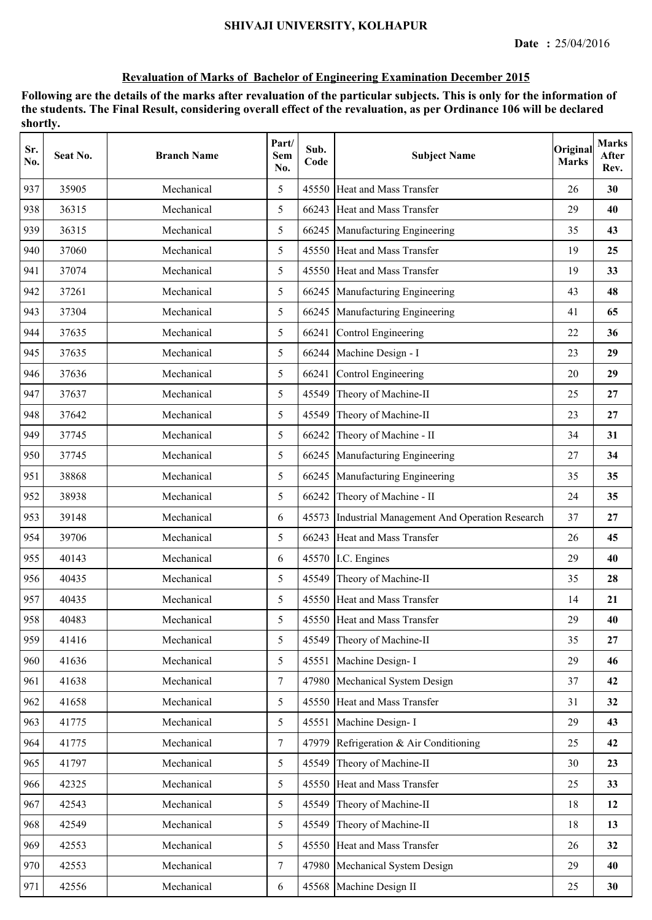| Sr.<br>No. | Seat No. | <b>Branch Name</b> | Part/<br><b>Sem</b><br>No. | Sub.<br>Code | <b>Subject Name</b>                          | Original<br><b>Marks</b> | <b>Marks</b><br>After<br>Rev. |
|------------|----------|--------------------|----------------------------|--------------|----------------------------------------------|--------------------------|-------------------------------|
| 937        | 35905    | Mechanical         | 5                          | 45550        | Heat and Mass Transfer                       | 26                       | 30                            |
| 938        | 36315    | Mechanical         | 5                          | 66243        | <b>Heat and Mass Transfer</b>                | 29                       | 40                            |
| 939        | 36315    | Mechanical         | 5                          | 66245        | Manufacturing Engineering                    | 35                       | 43                            |
| 940        | 37060    | Mechanical         | 5                          | 45550        | Heat and Mass Transfer                       | 19                       | 25                            |
| 941        | 37074    | Mechanical         | 5                          | 45550        | Heat and Mass Transfer                       | 19                       | 33                            |
| 942        | 37261    | Mechanical         | 5                          |              | 66245 Manufacturing Engineering              | 43                       | 48                            |
| 943        | 37304    | Mechanical         | 5                          |              | 66245 Manufacturing Engineering              | 41                       | 65                            |
| 944        | 37635    | Mechanical         | 5                          | 66241        | Control Engineering                          | 22                       | 36                            |
| 945        | 37635    | Mechanical         | 5                          | 66244        | Machine Design - I                           | 23                       | 29                            |
| 946        | 37636    | Mechanical         | 5                          | 66241        | Control Engineering                          | 20                       | 29                            |
| 947        | 37637    | Mechanical         | 5                          | 45549        | Theory of Machine-II                         | 25                       | 27                            |
| 948        | 37642    | Mechanical         | 5                          | 45549        | Theory of Machine-II                         | 23                       | 27                            |
| 949        | 37745    | Mechanical         | 5                          | 66242        | Theory of Machine - II                       | 34                       | 31                            |
| 950        | 37745    | Mechanical         | 5                          |              | 66245 Manufacturing Engineering              | 27                       | 34                            |
| 951        | 38868    | Mechanical         | 5                          | 66245        | Manufacturing Engineering                    | 35                       | 35                            |
| 952        | 38938    | Mechanical         | 5                          | 66242        | Theory of Machine - II                       | 24                       | 35                            |
| 953        | 39148    | Mechanical         | 6                          | 45573        | Industrial Management And Operation Research | 37                       | 27                            |
| 954        | 39706    | Mechanical         | 5                          | 66243        | Heat and Mass Transfer                       | 26                       | 45                            |
| 955        | 40143    | Mechanical         | 6                          | 45570        | I.C. Engines                                 | 29                       | 40                            |
| 956        | 40435    | Mechanical         | 5                          | 45549        | Theory of Machine-II                         | 35                       | 28                            |
| 957        | 40435    | Mechanical         | 5                          |              | 45550 Heat and Mass Transfer                 | 14                       | 21                            |
| 958        | 40483    | Mechanical         | 5                          |              | 45550 Heat and Mass Transfer                 | 29                       | 40                            |
| 959        | 41416    | Mechanical         | 5                          | 45549        | Theory of Machine-II                         | 35                       | 27                            |
| 960        | 41636    | Mechanical         | 5                          | 45551        | Machine Design-I                             | 29                       | 46                            |
| 961        | 41638    | Mechanical         | $\tau$                     | 47980        | Mechanical System Design                     | 37                       | 42                            |
| 962        | 41658    | Mechanical         | 5                          | 45550        | Heat and Mass Transfer                       | 31                       | 32                            |
| 963        | 41775    | Mechanical         | 5                          | 45551        | Machine Design-I                             | 29                       | 43                            |
| 964        | 41775    | Mechanical         | $\overline{7}$             | 47979        | Refrigeration & Air Conditioning             | 25                       | 42                            |
| 965        | 41797    | Mechanical         | 5                          | 45549        | Theory of Machine-II                         | 30                       | 23                            |
| 966        | 42325    | Mechanical         | 5                          |              | 45550 Heat and Mass Transfer                 | 25                       | 33                            |
| 967        | 42543    | Mechanical         | 5                          | 45549        | Theory of Machine-II                         | 18                       | 12                            |
| 968        | 42549    | Mechanical         | 5                          | 45549        | Theory of Machine-II                         | 18                       | 13                            |
| 969        | 42553    | Mechanical         | 5                          | 45550        | Heat and Mass Transfer                       | 26                       | 32                            |
| 970        | 42553    | Mechanical         | $\tau$                     | 47980        | Mechanical System Design                     | 29                       | 40                            |
| 971        | 42556    | Mechanical         | 6                          |              | 45568 Machine Design II                      | 25                       | 30                            |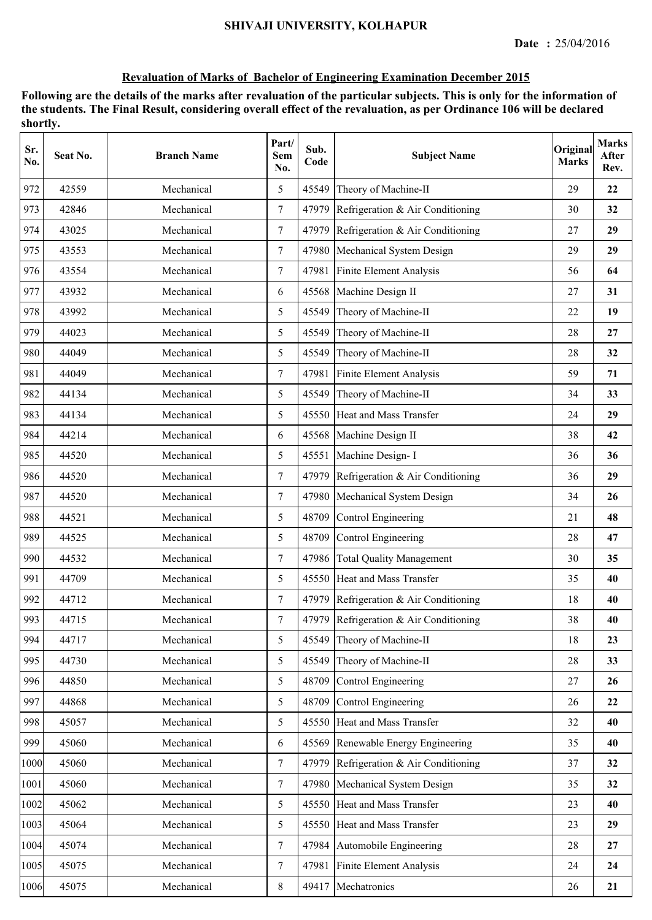| Sr.<br>No. | Seat No. | <b>Branch Name</b> | Part/<br>Sem<br>No. | Sub.<br>Code | <b>Subject Name</b>                    | Original<br><b>Marks</b> | <b>Marks</b><br>After<br>Rev. |
|------------|----------|--------------------|---------------------|--------------|----------------------------------------|--------------------------|-------------------------------|
| 972        | 42559    | Mechanical         | 5                   | 45549        | Theory of Machine-II                   | 29                       | 22                            |
| 973        | 42846    | Mechanical         | $\tau$              | 47979        | Refrigeration & Air Conditioning       | 30                       | 32                            |
| 974        | 43025    | Mechanical         | $\tau$              | 47979        | Refrigeration & Air Conditioning       | 27                       | 29                            |
| 975        | 43553    | Mechanical         | $\overline{7}$      | 47980        | Mechanical System Design               | 29                       | 29                            |
| 976        | 43554    | Mechanical         | $\tau$              |              | 47981 Finite Element Analysis          | 56                       | 64                            |
| 977        | 43932    | Mechanical         | 6                   | 45568        | Machine Design II                      | 27                       | 31                            |
| 978        | 43992    | Mechanical         | 5                   | 45549        | Theory of Machine-II                   | 22                       | 19                            |
| 979        | 44023    | Mechanical         | 5                   | 45549        | Theory of Machine-II                   | 28                       | 27                            |
| 980        | 44049    | Mechanical         | 5                   | 45549        | Theory of Machine-II                   | 28                       | 32                            |
| 981        | 44049    | Mechanical         | $\tau$              | 47981        | Finite Element Analysis                | 59                       | 71                            |
| 982        | 44134    | Mechanical         | 5                   | 45549        | Theory of Machine-II                   | 34                       | 33                            |
| 983        | 44134    | Mechanical         | 5                   |              | 45550 Heat and Mass Transfer           | 24                       | 29                            |
| 984        | 44214    | Mechanical         | 6                   |              | 45568 Machine Design II                | 38                       | 42                            |
| 985        | 44520    | Mechanical         | 5                   |              | 45551 Machine Design- I                | 36                       | 36                            |
| 986        | 44520    | Mechanical         | $\tau$              | 47979        | Refrigeration & Air Conditioning       | 36                       | 29                            |
| 987        | 44520    | Mechanical         | $\tau$              | 47980        | Mechanical System Design               | 34                       | 26                            |
| 988        | 44521    | Mechanical         | 5                   | 48709        | Control Engineering                    | 21                       | 48                            |
| 989        | 44525    | Mechanical         | 5                   | 48709        | Control Engineering                    | 28                       | 47                            |
| 990        | 44532    | Mechanical         | $\tau$              | 47986        | <b>Total Quality Management</b>        | 30                       | 35                            |
| 991        | 44709    | Mechanical         | 5                   |              | 45550 Heat and Mass Transfer           | 35                       | 40                            |
| 992        | 44712    | Mechanical         | $\tau$              |              | 47979 Refrigeration & Air Conditioning | 18                       | 40                            |
| 993        | 44715    | Mechanical         | 7                   |              | 47979 Refrigeration & Air Conditioning | 38                       | 40                            |
| 994        | 44717    | Mechanical         | 5                   | 45549        | Theory of Machine-II                   | 18                       | 23                            |
| 995        | 44730    | Mechanical         | 5                   | 45549        | Theory of Machine-II                   | 28                       | 33                            |
| 996        | 44850    | Mechanical         | 5                   | 48709        | Control Engineering                    | 27                       | 26                            |
| 997        | 44868    | Mechanical         | 5                   | 48709        | Control Engineering                    | 26                       | 22                            |
| 998        | 45057    | Mechanical         | 5                   | 45550        | Heat and Mass Transfer                 | 32                       | 40                            |
| 999        | 45060    | Mechanical         | 6                   |              | 45569 Renewable Energy Engineering     | 35                       | 40                            |
| 1000       | 45060    | Mechanical         | $\tau$              |              | 47979 Refrigeration & Air Conditioning | 37                       | 32                            |
| 1001       | 45060    | Mechanical         | $\tau$              |              | 47980 Mechanical System Design         | 35                       | 32                            |
| 1002       | 45062    | Mechanical         | 5                   |              | 45550 Heat and Mass Transfer           | 23                       | 40                            |
| 1003       | 45064    | Mechanical         | 5                   | 45550        | Heat and Mass Transfer                 | 23                       | 29                            |
| 1004       | 45074    | Mechanical         | $\tau$              | 47984        | Automobile Engineering                 | 28                       | 27                            |
| 1005       | 45075    | Mechanical         | $\tau$              | 47981        | Finite Element Analysis                | 24                       | 24                            |
| 1006       | 45075    | Mechanical         | $8\,$               | 49417        | Mechatronics                           | 26                       | 21                            |